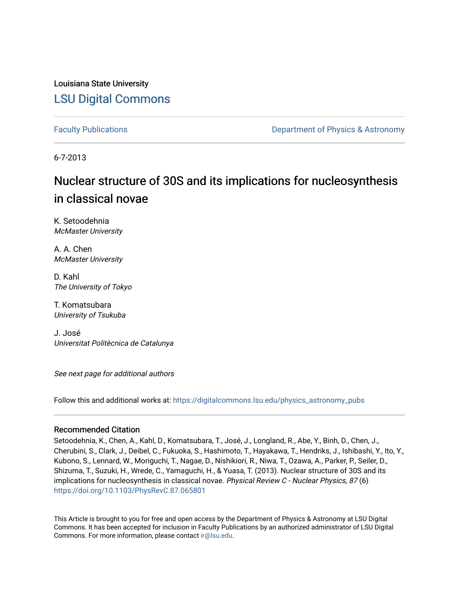Louisiana State University [LSU Digital Commons](https://digitalcommons.lsu.edu/)

[Faculty Publications](https://digitalcommons.lsu.edu/physics_astronomy_pubs) **Exercise 2 and Table 2 and Table 2 and Table 2 and Table 2 and Table 2 and Table 2 and Table 2 and Table 2 and Table 2 and Table 2 and Table 2 and Table 2 and Table 2 and Table 2 and Table 2 and Table** 

6-7-2013

# Nuclear structure of 30S and its implications for nucleosynthesis in classical novae

K. Setoodehnia McMaster University

A. A. Chen McMaster University

D. Kahl The University of Tokyo

T. Komatsubara University of Tsukuba

J. José Universitat Politècnica de Catalunya

See next page for additional authors

Follow this and additional works at: [https://digitalcommons.lsu.edu/physics\\_astronomy\\_pubs](https://digitalcommons.lsu.edu/physics_astronomy_pubs?utm_source=digitalcommons.lsu.edu%2Fphysics_astronomy_pubs%2F1263&utm_medium=PDF&utm_campaign=PDFCoverPages) 

# Recommended Citation

Setoodehnia, K., Chen, A., Kahl, D., Komatsubara, T., José, J., Longland, R., Abe, Y., Binh, D., Chen, J., Cherubini, S., Clark, J., Deibel, C., Fukuoka, S., Hashimoto, T., Hayakawa, T., Hendriks, J., Ishibashi, Y., Ito, Y., Kubono, S., Lennard, W., Moriguchi, T., Nagae, D., Nishikiori, R., Niwa, T., Ozawa, A., Parker, P., Seiler, D., Shizuma, T., Suzuki, H., Wrede, C., Yamaguchi, H., & Yuasa, T. (2013). Nuclear structure of 30S and its implications for nucleosynthesis in classical novae. Physical Review C - Nuclear Physics, 87 (6) <https://doi.org/10.1103/PhysRevC.87.065801>

This Article is brought to you for free and open access by the Department of Physics & Astronomy at LSU Digital Commons. It has been accepted for inclusion in Faculty Publications by an authorized administrator of LSU Digital Commons. For more information, please contact [ir@lsu.edu](mailto:ir@lsu.edu).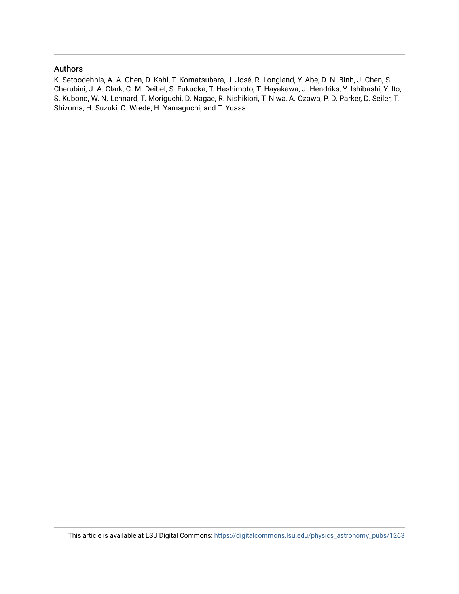# Authors

K. Setoodehnia, A. A. Chen, D. Kahl, T. Komatsubara, J. José, R. Longland, Y. Abe, D. N. Binh, J. Chen, S. Cherubini, J. A. Clark, C. M. Deibel, S. Fukuoka, T. Hashimoto, T. Hayakawa, J. Hendriks, Y. Ishibashi, Y. Ito, S. Kubono, W. N. Lennard, T. Moriguchi, D. Nagae, R. Nishikiori, T. Niwa, A. Ozawa, P. D. Parker, D. Seiler, T. Shizuma, H. Suzuki, C. Wrede, H. Yamaguchi, and T. Yuasa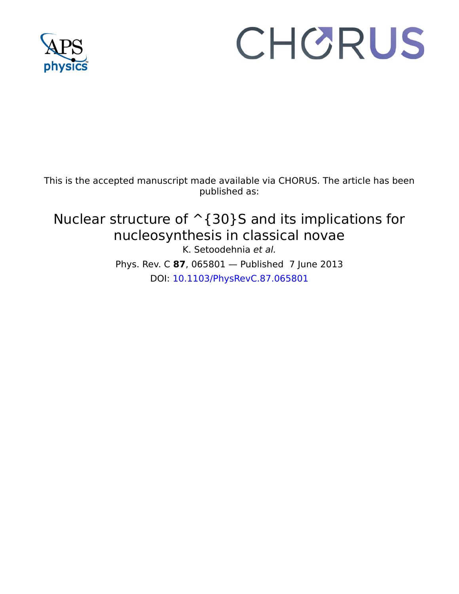

# CHORUS

This is the accepted manuscript made available via CHORUS. The article has been published as:

Nuclear structure of  $\hat{\ }$  {30}S and its implications for nucleosynthesis in classical novae K. Setoodehnia et al. Phys. Rev. C **87**, 065801 — Published 7 June 2013 DOI: [10.1103/PhysRevC.87.065801](http://dx.doi.org/10.1103/PhysRevC.87.065801)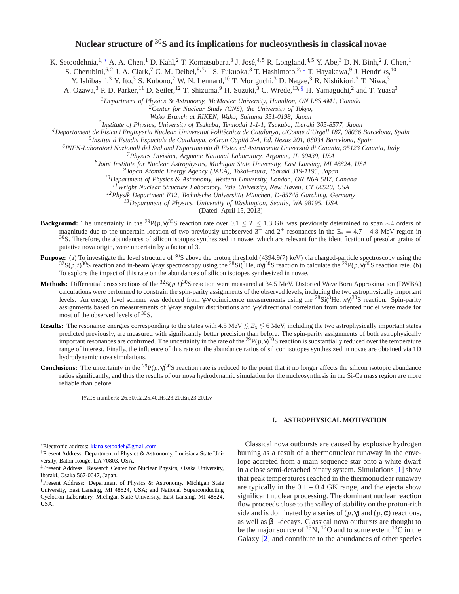# **Nuclear structure of** <sup>30</sup>**S and its implications for nucleosynthesis in classical novae**

K. Setoodehnia, <sup>1, \*</sup> A. A. Chen, <sup>1</sup> D. Kahl, <sup>2</sup> T. Komatsubara, <sup>3</sup> J. José, <sup>4, 5</sup> R. Longland, <sup>4, 5</sup> Y. Abe, <sup>3</sup> D. N. Binh, <sup>2</sup> J. Chen, <sup>1</sup>

S. Cherubini, <sup>6, 2</sup> J. A. Clark, <sup>7</sup> C. M. Deibel, <sup>8, 7, †</sup> S. Fukuoka, <sup>3</sup> T. Hashimoto, <sup>2, ‡</sup> T. Hayakawa, <sup>9</sup> J. Hendriks, <sup>10</sup>

Y. Ishibashi,<sup>3</sup> Y. Ito,<sup>3</sup> S. Kubono,<sup>2</sup> W. N. Lennard,<sup>10</sup> T. Moriguchi,<sup>3</sup> D. Nagae,<sup>3</sup> R. Nishikiori,<sup>3</sup> T. Niwa,<sup>3</sup>

A. Ozawa,<sup>3</sup> P. D. Parker,<sup>11</sup> D. Seiler,<sup>12</sup> T. Shizuma,<sup>9</sup> H. Suzuki,<sup>3</sup> C. Wrede,<sup>13, §</sup> H. Yamaguchi,<sup>2</sup> and T. Yuasa<sup>3</sup>

*<sup>1</sup>Department of Physics & Astronomy, McMaster University, Hamilton, ON L8S 4M1, Canada*

*<sup>2</sup>Center for Nuclear Study (CNS), the University of Tokyo,*

*Wako Branch at RIKEN, Wako, Saitama 351-0198, Japan*

*3 Institute of Physics, University of Tsukuba, Tennodai 1-1-1, Tsukuba, Ibaraki 305-8577, Japan*

*<sup>4</sup>Departament de F*´*isica i Enginyeria Nuclear, Universitat Politecnica de Catalunya, c/Comte d'Urgell 187, 08036 Barcelona* ` *, Spain*

*5 Institut d'Estudis Espacials de Catalunya, c/Gran Capita 2-4, Ed. Nexus 201, 08034 Barcelona, Spain* `

*6 INFN-Laboratori Nazionali del Sud and Dipartimento di Fisica ed Astronomia Universita di Catania, 95123 Catania, Italy* `

*<sup>7</sup>Physics Division, Argonne National Laboratory, Argonne, IL 60439, USA*

*8 Joint Institute for Nuclear Astrophysics, Michigan State University, East Lansing, MI 48824, USA*

*9 Japan Atomic Energy Agency (JAEA), Tokai–mura, Ibaraki 319-1195, Japan*

*<sup>10</sup>Department of Physics & Astronomy, Western University, London, ON N6A 5B7, Canada*

*<sup>11</sup>Wright Nuclear Structure Laboratory, Yale University, New Haven, CT 06520, USA*

<sup>12</sup>*Physik Department E12, Technische Universität München, D-85748 Garching, Germany* 

*<sup>13</sup>Department of Physics, University of Washington, Seattle, WA 98195, USA*

(Dated: April 15, 2013)

- **Background:** The uncertainty in the <sup>29</sup>P(*p*,  $\gamma$ )<sup>30</sup>S reaction rate over 0.1 ≤ *T* ≤ 1.3 GK was previously determined to span ∼4 orders of magnitude due to the uncertain location of two previously unobserved  $3^+$  and  $2^+$  resonances in the  $E_x = 4.7 - 4.8$  MeV region in <sup>30</sup>S. Therefore, the abundances of silicon isotopes synthesized in novae, which are relevant for the identification of presolar grains of putative nova origin, were uncertain by a factor of 3.
- **Purpose:** (a) To investigate the level structure of <sup>30</sup>S above the proton threshold (4394.9(7) keV) via charged-particle spectroscopy using the <sup>32</sup>S(*p*,*t*)<sup>30</sup>S reaction and in-beam γ-ray spectroscopy using the <sup>28</sup>Si(<sup>3</sup>He, *n*γ)<sup>30</sup>S reaction to calculate the <sup>29</sup>P(*p*, γ)<sup>30</sup>S reaction rate. (b) To explore the impact of this rate on the abundances of silicon isotopes synthesized in novae.
- **Methods:** Differential cross sections of the <sup>32</sup>S(*p*,*t*)<sup>30</sup>S reaction were measured at 34.5 MeV. Distorted Wave Born Approximation (DWBA) calculations were performed to constrain the spin-parity assignments of the observed levels, including the two astrophysically important levels. An energy level scheme was deduced from γ-γ coincidence measurements using the <sup>28</sup>Si(3He, *n*γ) <sup>30</sup>S reaction. Spin-parity assignments based on measurements of γ-ray angular distributions and γ-γ directional correlation from oriented nuclei were made for most of the observed levels of <sup>30</sup>S.
- <sup>10</sup>Department of Physics & Astronomy, Western University, London, ON<br>
<sup>11</sup>Wright Nuclear Structure Laboratory, Yate University, London, ON<br>
<sup>12</sup> Department E12, Technische University *Absolom,* ON<br>
<sup>12</sup> Department E12, T <sup>8</sup> *John Institute for Worker Newtone Addression Agrees Absolute The 0.0009. USA CASE Channel LC ASS CALL Newton Agrees Associate The Class and the Unit Class Channel Agrees Absolute The Department of Physics Astronomy.* **Results:** The resonance energies corresponding to the states with  $4.5 \text{ MeV} \lesssim E_x \lesssim 6 \text{ MeV}$ , including the two astrophysically important states predicted previously, are measured with significantly better precision than before. The spin-parity assignments of both astrophysically important resonances are confirmed. The uncertainty in the rate of the <sup>29</sup> $P(p, \gamma)^{30}$ S reaction is substantially reduced over the temperature range of interest. Finally, the influence of this rate on the abundance ratios of silicon isotopes synthesized in novae are obtained via 1D hydrodynamic nova simulations.
- **Conclusions:** The uncertainty in the <sup>29</sup> $P(p, \gamma)^{30}$ S reaction rate is reduced to the point that it no longer affects the silicon isotopic abundance ratios significantly, and thus the results of our nova hydrodynamic simulation for the nucleosynthesis in the Si-Ca mass region are more reliable than before.

PACS numbers: 26.30.Ca,25.40.Hs,23.20.En,23.20.Lv

<sup>∗</sup>Electronic address: kiana.setoodeh@gmail.com

†Present Address: Department of Physics & Astronomy, Louisiana State University, Baton Rouge, LA 70803, USA.

#### **I. ASTROPHYSICAL MOTIVATION**

Classical nova outbursts are caused by explosive hydrogen burning as a result of a thermonuclear runaway in the envelope accreted from a main sequence star onto a white dwarf in a close semi-detached binary system. Simulations [1] show that peak temperatures reached in the thermonuclear runaway are typically in the  $0.1 - 0.4$  GK range, and the ejecta show significant nuclear processing. The dominant nuclear reaction flow proceeds close to the valley of stability on the proton-rich side and is dominated by a series of  $(p, \gamma)$  and  $(p, \alpha)$  reactions, as well as  $\beta^+$ -decays. Classical nova outbursts are thought to be the major source of  $^{15}N$ ,  $^{17}O$  and to some extent  $^{13}C$  in the Galaxy [2] and contribute to the abundances of other species

<sup>‡</sup>Present Address: Research Center for Nuclear Physics, Osaka University, Ibaraki, Osaka 567-0047, Japan.

<sup>§</sup>Present Address: Department of Physics & Astronomy, Michigan State University, East Lansing, MI 48824, USA; and National Superconducting Cyclotron Laboratory, Michigan State University, East Lansing, MI 48824, USA.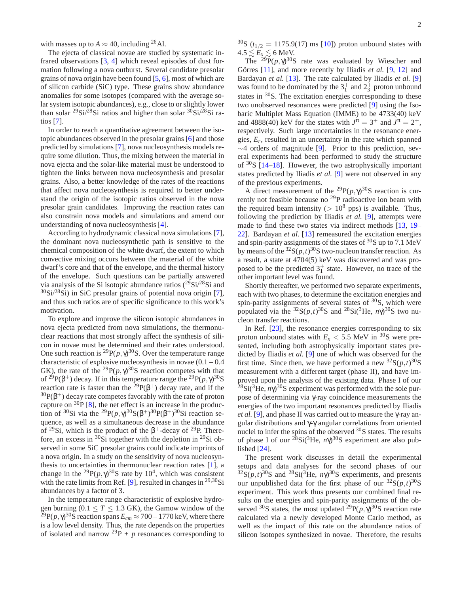with masses up to  $A \approx 40$ , including <sup>26</sup>Al.

The ejecta of classical novae are studied by systematic infrared observations [3, 4] which reveal episodes of dust formation following a nova outburst. Several candidate presolar grains of nova origin have been found [5, 6], most of which are of silicon carbide (SiC) type. These grains show abundance anomalies for some isotopes (compared with the average solar system isotopic abundances), e.g., close to or slightly lower than solar <sup>29</sup>Si/<sup>28</sup>Si ratios and higher than solar <sup>30</sup>Si/<sup>28</sup>Si ratios [7].

In order to reach a quantitative agreement between the isotopic abundances observed in the presolar grains [6] and those predicted by simulations [7], nova nucleosynthesis models require some dilution. Thus, the mixing between the material in nova ejecta and the solar-like material must be understood to tighten the links between nova nucleosynthesis and presolar grains. Also, a better knowledge of the rates of the reactions that affect nova nucleosynthesis is required to better understand the origin of the isotopic ratios observed in the nova presolar grain candidates. Improving the reaction rates can also constrain nova models and simulations and amend our understanding of nova nucleosynthesis [4].

According to hydrodynamic classical nova simulations [7], the dominant nova nucleosynthetic path is sensitive to the chemical composition of the white dwarf, the extent to which convective mixing occurs between the material of the white dwarf's core and that of the envelope, and the thermal history of the envelope. Such questions can be partially answered via analysis of the Si isotopic abundance ratios  $(^{29}Si^{28}Si$  and  $30\text{Si}/28\text{Si}$ ) in SiC presolar grains of potential nova origin [7], and thus such ratios are of specific significance to this work's motivation.

To explore and improve the silicon isotopic abundances in nova ejecta predicted from nova simulations, the thermonuclear reactions that most strongly affect the synthesis of silicon in novae must be determined and their rates understood. One such reaction is <sup>29</sup> $P(p, \gamma)^{30}$ S. Over the temperature range characteristic of explosive nucleosynthesis in novae  $(0.1 - 0.4)$ GK), the rate of the <sup>29</sup> $P(p, \gamma)^{30}$ S reaction competes with that of <sup>29</sup>P( $\beta$ <sup>+</sup>) decay. If in this temperature range the <sup>29</sup>P( $p, \gamma$ <sup>30</sup>S) reaction rate is faster than the <sup>29</sup> $P(\beta^+)$  decay rate, and if the  $30P(\beta^+)$  decay rate competes favorably with the rate of proton capture on  ${}^{30}P$  [8], the net effect is an increase in the production of <sup>30</sup>Si via the <sup>29</sup>P( $p, \gamma$ )<sup>30</sup>S( $\beta$ <sup>+</sup>)<sup>30</sup>P( $\beta$ <sup>+</sup>)<sup>30</sup>Si reaction sequence, as well as a simultaneous decrease in the abundance of <sup>29</sup>Si, which is the product of the  $\beta^+$ -decay of <sup>29</sup>P. Therefore, an excess in  ${}^{30}$ Si together with the depletion in  ${}^{29}$ Si observed in some SiC presolar grains could indicate imprints of a nova origin. In a study on the sensitivity of nova nucleosynthesis to uncertainties in thermonuclear reaction rates [1], a change in the <sup>29</sup> $P(p, \gamma)^{30}$ S rate by 10<sup>4</sup>, which was consistent with the rate limits from Ref. [9], resulted in changes in  $^{29,30}$ Si abundances by a factor of 3.

In the temperature range characteristic of explosive hydrogen burning  $(0.1 \le T \le 1.3 \text{ GK})$ , the Gamow window of the  $\tilde{Z}^9$ P( $p, \gamma$ ) $^{30}$ S reaction spans  $E_{cm}$   $\approx$  700 – 1770 keV, where there is a low level density. Thus, the rate depends on the properties of isolated and narrow  $^{29}P + p$  resonances corresponding to <sup>30</sup>S ( $t_{1/2} = 1175.9(17)$  ms [10]) proton unbound states with  $4.5 \lesssim E_x \lesssim 6$  MeV.

The <sup>29</sup>P( $p, \gamma$ )<sup>30</sup>S rate was evaluated by Wiescher and Görres [11], and more recently by Iliadis et al. [9, 12] and Bardayan *et al.* [13]. The rate calculated by Iliadis *et al.* [9] was found to be dominated by the  $3^+_1$  and  $2^+_3$  proton unbound states in <sup>30</sup>S. The excitation energies corresponding to these two unobserved resonances were predicted [9] using the Isobaric Multiplet Mass Equation (IMME) to be 4733(40) keV and 4888(40) keV for the states with  $J^{\pi} = 3^+$  and  $J^{\pi} = 2^+,$ respectively. Such large uncertainties in the resonance energies, *E<sup>r</sup>* , resulted in an uncertainty in the rate which spanned ∼4 orders of magnitude [9]. Prior to this prediction, several experiments had been performed to study the structure of <sup>30</sup>S [14–18]. However, the two astrophysically important states predicted by Iliadis *et al.* [9] were not observed in any of the previous experiments.

A direct measurement of the <sup>29</sup> $P(p, \gamma)^{30}$ S reaction is currently not feasible because no <sup>29</sup>P radioactive ion beam with the required beam intensity ( $> 10<sup>8</sup>$  pps) is available. Thus, following the prediction by Iliadis *et al.* [9], attempts were made to find these two states via indirect methods [13, 19– 22]. Bardayan *et al.* [13] remeasured the excitation energies and spin-parity assignments of the states of  ${}^{30}S$  up to 7.1 MeV by means of the  ${}^{32}S(p,t){}^{30}S$  two-nucleon transfer reaction. As a result, a state at 4704(5) keV was discovered and was proposed to be the predicted  $3^{\text{+}}_1$  state. However, no trace of the other important level was found.

Shortly thereafter, we performed two separate experiments, each with two phases, to determine the excitation energies and spin-parity assignments of several states of  $30$ S, which were populated via the  ${}^{32}S(p,t){}^{30}S$  and  ${}^{28}Si({}^{3}He, n\gamma){}^{30}S$  two nucleon transfer reactions.

In Ref. [23], the resonance energies corresponding to six proton unbound states with  $E_x < 5.5$  MeV in <sup>30</sup>S were presented, including both astrophysically important states predicted by Iliadis *et al.* [9] one of which was observed for the first time. Since then, we have performed a new  ${}^{32}S(p,t){}^{30}S$ measurement with a different target (phase II), and have improved upon the analysis of the existing data. Phase I of our <sup>28</sup>Si(<sup>3</sup>He,  $n\gamma$ )<sup>30</sup>S experiment was performed with the sole purpose of determining via γ-ray coincidence measurements the energies of the two important resonances predicted by Iliadis *et al.* [9], and phase II was carried out to measure the γ-ray angular distributions and γ-γ angular correlations from oriented nuclei to infer the spins of the observed  $30S$  states. The results of phase I of our  $^{28}Si(^{3}He, n\gamma)^{30}S$  experiment are also published [24].

The present work discusses in detail the experimental setups and data analyses for the second phases of our  ${}^{32}S(p,t){}^{30}S$  and  ${}^{28}Si({}^{3}He, n\gamma){}^{30}S$  experiments, and presents our unpublished data for the first phase of our  ${}^{32}S(p,t){}^{30}S$ experiment. This work thus presents our combined final results on the energies and spin-parity assignments of the observed <sup>30</sup>S states, the most updated <sup>29</sup> $P(p, \gamma)^{30}$ S reaction rate calculated via a newly developed Monte Carlo method, as well as the impact of this rate on the abundance ratios of silicon isotopes synthesized in novae. Therefore, the results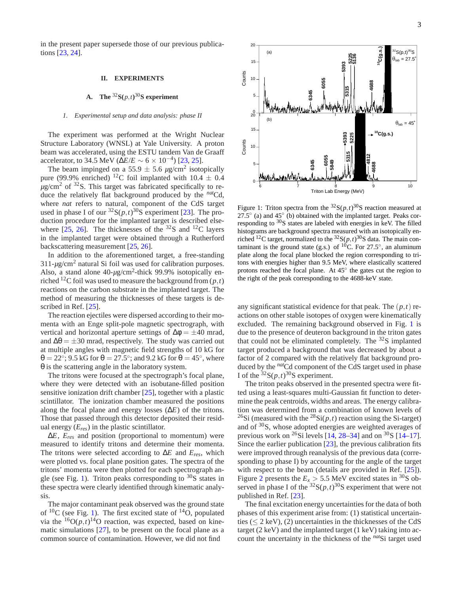in the present paper supersede those of our previous publications [23, 24].

#### **II. EXPERIMENTS**

## **A.** The  ${}^{32}S(p,t){}^{30}S$  experiment

#### *1. Experimental setup and data analysis: phase II*

The experiment was performed at the Wright Nuclear Structure Laboratory (WNSL) at Yale University. A proton beam was accelerated, using the ESTU tandem Van de Graaff accelerator, to 34.5 MeV ( $\Delta E/E \sim 6 \times 10^{-4}$ ) [23, 25].

The beam impinged on a 55.9  $\pm$  5.6  $\mu$ g/cm<sup>2</sup> isotopically pure (99.9% enriched) <sup>12</sup>C foil implanted with  $10.4 \pm 0.4$  $\mu$ g/cm<sup>2</sup> of <sup>32</sup>S. This target was fabricated specifically to reduce the relatively flat background produced by the *nat*Cd, where *nat* refers to natural, component of the CdS target used in phase I of our  ${}^{32}S(p,t){}^{30}S$  experiment [23]. The production procedure for the implanted target is described elsewhere  $[25, 26]$ . The thicknesses of the  $^{32}S$  and  $^{12}C$  layers in the implanted target were obtained through a Rutherford backscattering measurement [25, 26].

In addition to the aforementioned target, a free-standing 311-*µ*g/cm<sup>2</sup> natural Si foil was used for calibration purposes. Also, a stand alone 40-μg/cm<sup>2</sup>-thick 99.9% isotopically enriched <sup>12</sup>C foil was used to measure the background from  $(p, t)$ reactions on the carbon substrate in the implanted target. The method of measuring the thicknesses of these targets is described in Ref. [25].

The reaction ejectiles were dispersed according to their momenta with an Enge split-pole magnetic spectrograph, with vertical and horizontal aperture settings of  $\Delta \phi = \pm 40$  mrad, and  $\Delta\theta = \pm 30$  mrad, respectively. The study was carried out at multiple angles with magnetic field strengths of 10 kG for  $\theta = 22^{\circ}$ ; 9.5 kG for  $\theta = 27.5^{\circ}$ ; and 9.2 kG for  $\theta = 45^{\circ}$ , where θ is the scattering angle in the laboratory system.

The tritons were focused at the spectrograph's focal plane, where they were detected with an isobutane-filled position sensitive ionization drift chamber [25], together with a plastic scintillator. The ionization chamber measured the positions along the focal plane and energy losses (∆*E*) of the tritons. Those that passed through this detector deposited their residual energy (*Eres*) in the plastic scintillator.

∆*E*, *Eres* and position (proportional to momentum) were measured to identify tritons and determine their momenta. The tritons were selected according to ∆*E* and *Eres*, which were plotted vs. focal plane position gates. The spectra of the tritons' momenta were then plotted for each spectrograph angle (see Fig. 1). Triton peaks corresponding to  $30S$  states in these spectra were clearly identified through kinematic analysis.

The major contaminant peak observed was the ground state of  ${}^{10}C$  (see Fig. 1). The first excited state of  ${}^{14}O$ , populated via the  ${}^{16}O(p,t)$ <sup>14</sup>O reaction, was expected, based on kinematic simulations [27], to be present on the focal plane as a common source of contamination. However, we did not find



Figure 1: Triton spectra from the  ${}^{32}S(p,t){}^{30}S$  reaction measured at 27.5 $\degree$  (a) and 45 $\degree$  (b) obtained with the implanted target. Peaks corresponding to <sup>30</sup>S states are labeled with energies in keV. The filled histograms are background spectra measured with an isotopically enriched <sup>12</sup>C target, normalized to the  ${}^{32}S(p,t) {}^{30}S$  data. The main contaminant is the ground state (g.s.) of  ${}^{10}$ C. For 27.5°, an aluminum plate along the focal plane blocked the region corresponding to tritons with energies higher than 9.5 MeV, where elastically scattered protons reached the focal plane. At  $45^\circ$  the gates cut the region to the right of the peak corresponding to the 4688-keV state.

any significant statistical evidence for that peak. The (*p*,*t*) reactions on other stable isotopes of oxygen were kinematically excluded. The remaining background observed in Fig. 1 is due to the presence of deuteron background in the triton gates that could not be eliminated completely. The  $32S$  implanted target produced a background that was decreased by about a factor of 2 compared with the relatively flat background produced by the *nat*Cd component of the CdS target used in phase I of the  ${}^{32}S(p,t)$ <sup>30</sup>S experiment.

The triton peaks observed in the presented spectra were fitted using a least-squares multi-Gaussian fit function to determine the peak centroids, widths and areas. The energy calibration was determined from a combination of known levels of <sup>26</sup>Si (measured with the <sup>28</sup>Si( $p$ ,*t*) reaction using the Si-target) and of <sup>30</sup>S, whose adopted energies are weighted averages of previous work on <sup>26</sup>Si levels [14, 28–34] and on <sup>30</sup>S [14–17]. Since the earlier publication [23], the previous calibration fits were improved through reanalysis of the previous data (corresponding to phase I) by accounting for the angle of the target with respect to the beam (details are provided in Ref. [25]). Figure 2 presents the  $E_x > 5.5$  MeV excited states in <sup>30</sup>S observed in phase I of the  ${}^{32}S(p,t) {}^{30}S$  experiment that were not published in Ref. [23].

The final excitation energy uncertainties for the data of both phases of this experiment arise from: (1) statistical uncertainties ( $\leq$  2 keV), (2) uncertainties in the thicknesses of the CdS target (2 keV) and the implanted target (1 keV) taking into account the uncertainty in the thickness of the *nat*Si target used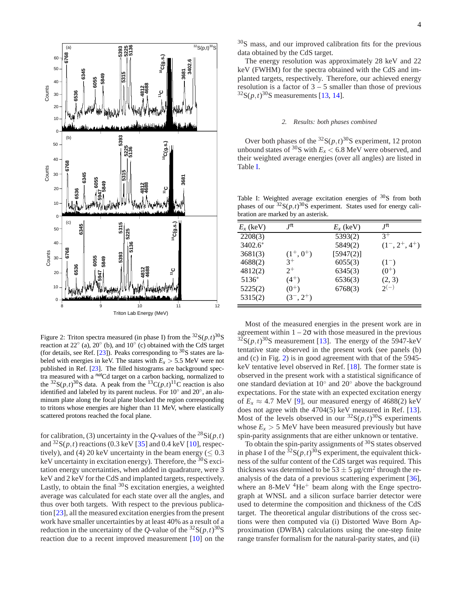

Figure 2: Triton spectra measured (in phase I) from the  ${}^{32}S(p,t) {}^{30}S$ reaction at  $22^\circ$  (a),  $20^\circ$  (b), and  $10^\circ$  (c) obtained with the CdS target (for details, see Ref. [23]). Peaks corresponding to  $30S$  states are labeled with energies in keV. The states with  $E_x > 5.5$  MeV were not published in Ref. [23]. The filled histograms are background spectra measured with a *nat*Cd target on a carbon backing, normalized to the <sup>32</sup>S( $p$ , $t$ )<sup>30</sup>S data. A peak from the <sup>13</sup>C( $p$ , $t$ )<sup>11</sup>C reaction is also identified and labeled by its parent nucleus. For 10° and 20°, an aluminum plate along the focal plane blocked the region corresponding to tritons whose energies are higher than 11 MeV, where elastically scattered protons reached the focal plane.

for calibration, (3) uncertainty in the *Q*-values of the  $^{28}Si(p,t)$ and  ${}^{32}S(p,t)$  reactions (0.3 keV [35] and 0.4 keV [10], respectively), and (4) 20 keV uncertainty in the beam energy ( $\leq 0.3$ ) keV uncertainty in excitation energy). Therefore, the  ${}^{30}S$  excitation energy uncertainties, when added in quadrature, were 3 keV and 2 keV for the CdS and implanted targets, respectively. Lastly, to obtain the final  ${}^{30}S$  excitation energies, a weighted average was calculated for each state over all the angles, and thus over both targets. With respect to the previous publication [23], all the measured excitation energies from the present work have smaller uncertainties by at least 40% as a result of a reduction in the uncertainty of the *Q*-value of the  ${}^{32}S(p,t) {}^{30}S$ reaction due to a recent improved measurement [10] on the

<sup>30</sup>S mass, and our improved calibration fits for the previous data obtained by the CdS target.

The energy resolution was approximately 28 keV and 22 keV (FWHM) for the spectra obtained with the CdS and implanted targets, respectively. Therefore, our achieved energy resolution is a factor of  $3 - 5$  smaller than those of previous  $32S(p,t)$ <sup>30</sup>S measurements [13, 14].

#### *2. Results: both phases combined*

Over both phases of the  ${}^{32}S(p,t)$ <sup>30</sup>S experiment, 12 proton unbound states of  $30S$  with  $E_x < 6.8$  MeV were observed, and their weighted average energies (over all angles) are listed in Table I.

Table I: Weighted average excitation energies of  $30S$  from both phases of our  $32S(p,t)$ <sup>30</sup>S experiment. States used for energy calibration are marked by an asterisk.

| $E_x$ (keV) | $I^{\pi}$    | $E_x$ (keV) | $I^{\pi}$         |
|-------------|--------------|-------------|-------------------|
| 2208(3)     |              | 5393(2)     | $3^+$             |
| $3402.6*$   |              | 5849(2)     | $(1^-, 2^+, 4^+)$ |
| 3681(3)     | $(1^+, 0^+)$ | [5947(2)]   |                   |
| 4688(2)     | $3^+$        | 6055(3)     | $(1^-)$           |
| 4812(2)     | $2^+$        | 6345(3)     | $(0^{+})$         |
| 5136*       | $(4^+)$      | 6536(3)     | (2, 3)            |
| 5225(2)     | $(0^{+})$    | 6768(3)     | $2^{(-)}$         |
| 5315(2)     | $(3^-, 2^+)$ |             |                   |
|             |              |             |                   |

Most of the measured energies in the present work are in agreement within  $1 - 2\sigma$  with those measured in the previous  $32\text{S}(p,t)$ <sup>30</sup>S measurement [13]. The energy of the 5947-keV tentative state observed in the present work (see panels (b) and (c) in Fig. 2) is in good agreement with that of the 5945 keV tentative level observed in Ref. [18]. The former state is observed in the present work with a statistical significance of one standard deviation at 10◦ and 20◦ above the background expectations. For the state with an expected excitation energy of  $E_x \approx 4.7$  MeV [9], our measured energy of 4688(2) keV does not agree with the 4704(5) keV measured in Ref. [13]. Most of the levels observed in our  ${}^{32}S(p,t){}^{30}S$  experiments whose  $E_x > 5$  MeV have been measured previously but have spin-parity assignments that are either unknown or tentative.

To obtain the spin-parity assignments of  $30S$  states observed in phase I of the  ${}^{32}S(p,t)$ <sup>30</sup>S experiment, the equivalent thickness of the sulfur content of the CdS target was required. This thickness was determined to be  $53 \pm 5 \,\mu$ g/cm<sup>2</sup> through the reanalysis of the data of a previous scattering experiment [36], where an  $8\text{-MeV}$  <sup>4</sup>He<sup>+</sup> beam along with the Enge spectrograph at WNSL and a silicon surface barrier detector were used to determine the composition and thickness of the CdS target. The theoretical angular distributions of the cross sections were then computed via (i) Distorted Wave Born Approximation (DWBA) calculations using the one-step finite range transfer formalism for the natural-parity states, and (ii)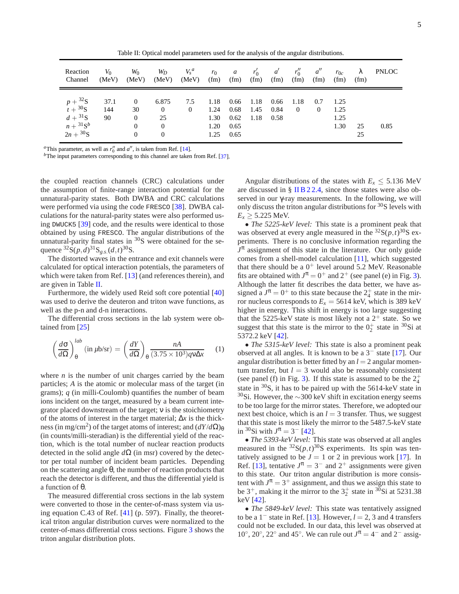Table II: Optical model parameters used for the analysis of the angular distributions.

| Reaction                                                                                | $V_0$             | $W_0$                                                          | $W_D$                                                       | $V_s^a$               | $r_0$                                | $\overline{a}$                       | $r'_0$               | $a^{\prime}$         | $r''_0$                | $a^{\prime\prime}$ | $r_{0c}$                     | λ        | <b>PNLOC</b> |
|-----------------------------------------------------------------------------------------|-------------------|----------------------------------------------------------------|-------------------------------------------------------------|-----------------------|--------------------------------------|--------------------------------------|----------------------|----------------------|------------------------|--------------------|------------------------------|----------|--------------|
| Channel                                                                                 | (MeV)             | (MeV)                                                          | (MeV)                                                       | (MeV)                 | (fm)                                 | (fm)                                 | (fm)                 | (fm)                 | (fm)                   | (fm)               | (fm)                         | (fm)     |              |
| $p+{}^{32}S$<br>$t + {}^{30}S$<br>$d + {}^{31}S$<br>$n + {}^{31}S^b$<br>$2n + {}^{30}S$ | 37.1<br>144<br>90 | $\overline{0}$<br>30<br>$\overline{0}$<br>$\theta$<br>$\Omega$ | 6.875<br>$\overline{0}$<br>25<br>$\overline{0}$<br>$\theta$ | 7.5<br>$\overline{0}$ | 1.18<br>1.24<br>1.30<br>1.20<br>1.25 | 0.66<br>0.68<br>0.62<br>0.65<br>0.65 | 1.18<br>1.45<br>1.18 | 0.66<br>0.84<br>0.58 | 1.18<br>$\overline{0}$ | 0.7<br>$\theta$    | 1.25<br>1.25<br>1.25<br>1.30 | 25<br>25 | 0.85         |

<sup>*a*</sup>This parameter, as well as  $r_0''$  and  $a''$ , is taken from Ref. [14].

<sup>*b*</sup>The input parameters corresponding to this channel are taken from Ref. [37].

the coupled reaction channels (CRC) calculations under the assumption of finite-range interaction potential for the unnatural-parity states. Both DWBA and CRC calculations were performed via using the code FRESCO [38]. DWBA calculations for the natural-parity states were also performed using DWUCK5 [39] code, and the results were identical to those obtained by using FRESCO. The angular distributions of the unnatural-parity final states in  ${}^{30}S$  were obtained for the sequence  ${}^{32}S(p,d)^{31}S_{g.s.}(d,t)^{30}S$ .

The distorted waves in the entrance and exit channels were calculated for optical interaction potentials, the parameters of which were taken from Ref. [13] (and references therein), and are given in Table II.

Furthermore, the widely used Reid soft core potential [40] was used to derive the deuteron and triton wave functions, as well as the p-n and d-n interactions.

The differential cross sections in the lab system were obtained from [25]

$$
\left(\frac{d\sigma}{d\Omega}\right)_{\theta}^{lab} \left(\text{in }\mu\text{b/sr}\right) = \left(\frac{dY}{d\Omega}\right)_{\theta} \frac{nA}{(3.75 \times 10^3)qv\Delta x} \tag{1}
$$

where  $n$  is the number of unit charges carried by the beam particles; *A* is the atomic or molecular mass of the target (in grams); *q* (in milli-Coulomb) quantifies the number of beam ions incident on the target, measured by a beam current integrator placed downstream of the target; ν is the stoichiometry of the atoms of interest in the target material; ∆*x* is the thickness (in mg/cm<sup>2</sup>) of the target atoms of interest; and  $(dY/d\Omega)_{\theta}$ (in counts/milli-steradian) is the differential yield of the reaction, which is the total number of nuclear reaction products detected in the solid angle  $d\Omega$  (in msr) covered by the detector per total number of incident beam particles. Depending on the scattering angle  $\theta$ , the number of reaction products that reach the detector is different, and thus the differential yield is a function of θ.

The measured differential cross sections in the lab system were converted to those in the center-of-mass system via using equation C.43 of Ref. [41] (p. 597). Finally, the theoretical triton angular distribution curves were normalized to the center-of-mass differential cross sections. Figure 3 shows the triton angular distribution plots.

Angular distributions of the states with  $E_x \leq 5.136$  MeV are discussed in § II B 2 2.4, since those states were also observed in our γ-ray measurements. In the following, we will only discuss the triton angular distributions for  $30S$  levels with  $E_x \ge 5.225$  MeV.

• *The 5225-keV level:* This state is a prominent peak that was observed at every angle measured in the  ${}^{32}S(p,t){}^{30}S$  experiments. There is no conclusive information regarding the  $J^{\pi}$  assignment of this state in the literature. Our only guide comes from a shell-model calculation [11], which suggested that there should be a  $0^+$  level around 5.2 MeV. Reasonable fits are obtained with  $J^{\pi} = 0^+$  and  $2^+$  (see panel (e) in Fig. 3). Although the latter fit describes the data better, we have assigned a  $J^{\pi} = 0^+$  to this state because the  $2^+_4$  state in the mirror nucleus corresponds to  $E_x = 5614$  keV, which is 389 keV higher in energy. This shift in energy is too large suggesting that the 5225-keV state is most likely not a  $2^+$  state. So we suggest that this state is the mirror to the  $0^+_2$  state in <sup>30</sup>Si at 5372.2 keV [42].

• *The 5315-keV level:* This state is also a prominent peak observed at all angles. It is known to be a 3<sup>−</sup> state [17]. Our angular distribution is better fitted by an  $l = 2$  angular momentum transfer, but  $l = 3$  would also be reasonably consistent (see panel (f) in Fig. 3). If this state is assumed to be the  $2^+_4$ state in <sup>30</sup>S, it has to be paired up with the 5614-keV state in <sup>30</sup>Si. However, the ∼300 keV shift in excitation energy seems to be too large for the mirror states. Therefore, we adopted our next best choice, which is an  $l = 3$  transfer. Thus, we suggest that this state is most likely the mirror to the 5487.5-keV state in <sup>30</sup>Si with  $J^{\pi} = 3^-$  [42].

• *The 5393-keV level:* This state was observed at all angles measured in the  ${}^{32}S(p,t){}^{30}S$  experiments. Its spin was tentatively assigned to be  $J = 1$  or 2 in previous work [17]. In Ref. [13], tentative  $J^{\pi} = 3^-$  and  $2^+$  assignments were given to this state. Our triton angular distribution is more consistent with  $J^{\pi} = 3^+$  assignment, and thus we assign this state to be  $3^+$ , making it the mirror to the  $3^+_2$  state in  $3^0$ Si at 5231.38 keV [42].

• *The 5849-keV level:* This state was tentatively assigned to be a 1<sup>−</sup> state in Ref. [13]. However, *l* = 2, 3 and 4 transfers could not be excluded. In our data, this level was observed at 10°, 20°, 22° and 45°. We can rule out  $J^{\pi} = 4^-$  and  $2^-$  assig-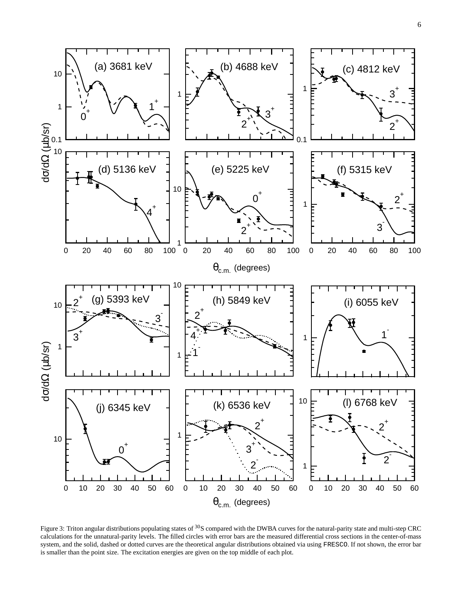

Figure 3: Triton angular distributions populating states of <sup>30</sup>S compared with the DWBA curves for the natural-parity state and multi-step CRC calculations for the unnatural-parity levels. The filled circles with error bars are the measured differential cross sections in the center-of-mass system, and the solid, dashed or dotted curves are the theoretical angular distributions obtained via using FRESCO. If not shown, the error bar is smaller than the point size. The excitation energies are given on the top middle of each plot.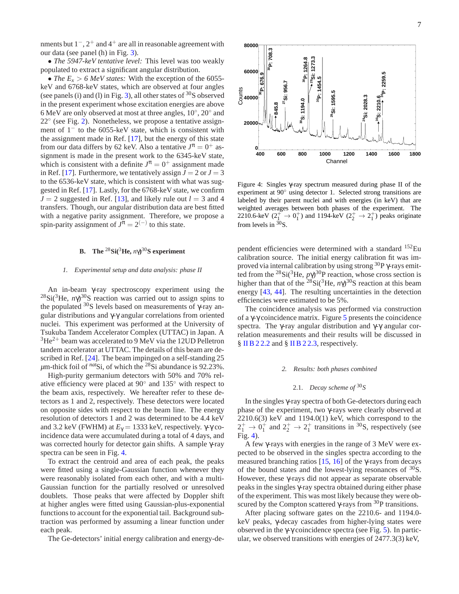nments but 1<sup>-</sup>, 2<sup>+</sup> and 4<sup>+</sup> are all in reasonable agreement with our data (see panel (h) in Fig. 3).

• *The 5947-keV tentative level:* This level was too weakly populated to extract a significant angular distribution.

• *The E<sub>x</sub>* > 6 *MeV states:* With the exception of the 6055keV and 6768-keV states, which are observed at four angles (see panels (i) and (l) in Fig. 3), all other states of  $30S$  observed in the present experiment whose excitation energies are above 6 MeV are only observed at most at three angles,  $10^{\circ}$ ,  $20^{\circ}$  and 22<sup>°</sup> (see Fig. 2). Nonetheless, we propose a tentative assignment of  $1<sup>-</sup>$  to the 6055-keV state, which is consistent with the assignment made in Ref. [17], but the energy of this state from our data differs by 62 keV. Also a tentative  $J^{\pi} = 0^+$  assignment is made in the present work to the 6345-keV state, which is consistent with a definite  $J^{\pi} = 0^{+}$  assignment made in Ref. [17]. Furthermore, we tentatively assign  $J = 2$  or  $J = 3$ to the 6536-keV state, which is consistent with what was suggested in Ref. [17]. Lastly, for the 6768-keV state, we confirm  $J = 2$  suggested in Ref. [13], and likely rule out  $l = 3$  and 4 transfers. Though, our angular distribution data are best fitted with a negative parity assignment. Therefore, we propose a spin-parity assignment of  $J^{\pi} = 2^{(-)}$  to this state.

#### **B.** The  ${}^{28}\text{Si}({}^{3}\text{He}, n\gamma){}^{30}\text{S}$  experiment

#### *1. Experimental setup and data analysis: phase II*

An in-beam γ-ray spectroscopy experiment using the <sup>28</sup>Si(<sup>3</sup>He,  $n\gamma$ )<sup>30</sup>S reaction was carried out to assign spins to the populated  $30S$  levels based on measurements of  $\gamma$ -ray angular distributions and γ-γ angular correlations from oriented nuclei. This experiment was performed at the University of Tsukuba Tandem Accelerator Complex (UTTAC) in Japan. A  $3He<sup>2+</sup>$  beam was accelerated to 9 MeV via the 12UD Pelletron tandem accelerator at UTTAC. The details of this beam are described in Ref. [24]. The beam impinged on a self-standing 25  $\mu$ m-thick foil of  $^{nat}$ Si, of which the  $^{28}$ Si abundance is 92.23%.

High-purity germanium detectors with 50% and 70% relative efficiency were placed at 90◦ and 135◦ with respect to the beam axis, respectively. We hereafter refer to these detectors as 1 and 2, respectively. These detectors were located on opposite sides with respect to the beam line. The energy resolution of detectors 1 and 2 was determined to be 4.4 keV and 3.2 keV (FWHM) at  $E_\gamma = 1333$  keV, respectively. γ-γ coincidence data were accumulated during a total of 4 days, and was corrected hourly for detector gain shifts. A sample γ-ray spectra can be seen in Fig. 4.

To extract the centroid and area of each peak, the peaks were fitted using a single-Gaussian function whenever they were reasonably isolated from each other, and with a multi-Gaussian function for the partially resolved or unresolved doublets. Those peaks that were affected by Doppler shift at higher angles were fitted using Gaussian-plus-exponential functions to account for the exponential tail. Background subtraction was performed by assuming a linear function under each peak.

The Ge-detectors' initial energy calibration and energy-de-



Figure 4: Singles γ-ray spectrum measured during phase II of the experiment at 90◦ using detector 1. Selected strong transitions are labeled by their parent nuclei and with energies (in keV) that are weighted averages between both phases of the experiment. The 2210.6-keV  $(2^{+}_{1} \rightarrow 0^{+}_{1})$  and 1194-keV  $(2^{+}_{2} \rightarrow 2^{+}_{1})$  peaks originate from levels in  $\frac{30}{5}$ S.

pendent efficiencies were determined with a standard <sup>152</sup>Eu calibration source. The initial energy calibration fit was improved via internal calibration by using strong  ${}^{30}P$   $\gamma$ -rays emitted from the <sup>28</sup>Si(<sup>3</sup>He,  $p\gamma$ )<sup>30</sup>P reaction, whose cross section is higher than that of the <sup>28</sup>Si(<sup>3</sup>He, *n* $\gamma$ )<sup>30</sup>S reaction at this beam energy [43, 44]. The resulting uncertainties in the detection efficiencies were estimated to be 5%.

The coincidence analysis was performed via construction of a γ-γ coincidence matrix. Figure 5 presents the coincidence spectra. The γ-ray angular distribution and γ-γ angular correlation measurements and their results will be discussed in § II B 2 2.2 and § II B 2 2.3, respectively.

#### *2. Results: both phases combined*

# 2.1. *Decay scheme of* <sup>30</sup>*S*

In the singles γ-ray spectra of both Ge-detectors during each phase of the experiment, two γ-rays were clearly observed at 2210.6(3) keV and 1194.0(1) keV, which correspond to the  $2^+_1 \rightarrow 0^+_1$  and  $2^+_2 \rightarrow 2^+_1$  transitions in <sup>30</sup>S, respectively (see Fig. 4).

A few γ-rays with energies in the range of 3 MeV were expected to be observed in the singles spectra according to the measured branching ratios  $[15, 16]$  of the γ-rays from decays of the bound states and the lowest-lying resonances of  $30$ S. However, these γ-rays did not appear as separate observable peaks in the singles γ-ray spectra obtained during either phase of the experiment. This was most likely because they were obscured by the Compton scattered  $\gamma$ -rays from  $^{30}P$  transitions.

After placing software gates on the 2210.6- and 1194.0 keV peaks, γ-decay cascades from higher-lying states were observed in the γ-γ coincidence spectra (see Fig. 5). In particular, we observed transitions with energies of 2477.3(3) keV,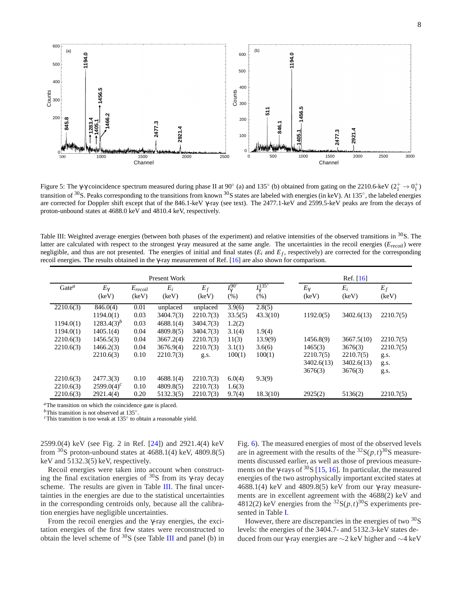8



Figure 5: The  $\gamma$ - $\gamma$  coincidence spectrum measured during phase II at 90 $\degree$  (a) and 135 $\degree$  (b) obtained from gating on the 2210.6-keV (2<sup>+</sup>  $\rightarrow$  0<sup>+</sup><sub>1</sub>) transition of <sup>30</sup>S. Peaks corresponding to the transitions from known <sup>30</sup>S states are labeled with energies (in keV). At 135°, the labeled energies are corrected for Doppler shift except that of the 846.1-keV γ-ray (see text). The 2477.1-keV and 2599.5-keV peaks are from the decays of proton-unbound states at 4688.0 keV and 4810.4 keV, respectively.

Table III: Weighted average energies (between both phases of the experiment) and relative intensities of the observed transitions in  $30S$ . The latter are calculated with respect to the strongest γ-ray measured at the same angle. The uncertainties in the recoil energies (*Erecoil*) were negligible, and thus are not presented. The energies of initial and final states  $(E_i$  and  $E_f$ , respectively) are corrected for the corresponding recoil energies. The results obtained in the γ-ray measurement of Ref. [16] are also shown for comparison.

|                                     |                                         |                       | Ref. $[16]$                         |                                     |                                   |                                 |                       |                       |                   |
|-------------------------------------|-----------------------------------------|-----------------------|-------------------------------------|-------------------------------------|-----------------------------------|---------------------------------|-----------------------|-----------------------|-------------------|
| $Gate^a$                            | $E_{\gamma}$<br>(keV)                   | $E_{recoil}$<br>(keV) | $E_i$<br>(keV)                      | $E_f$<br>(keV)                      | $I_{\gamma}^{90^{\circ}}$<br>(% ) | $I_{\nu}^{135^{\circ}}$<br>(% ) | $E_{\gamma}$<br>(keV) | $E_i$<br>(keV)        | $E_f$<br>(keV)    |
| 2210.6(3)                           | 846.0(4)<br>1194.0(1)<br>$1283.4(3)^b$  | 0.01<br>0.03<br>0.03  | unplaced<br>3404.7(3)               | unplaced<br>2210.7(3)<br>3404.7(3)  | 3.9(6)<br>33.5(5)                 | 2.8(5)<br>43.3(10)              | 1192.0(5)             | 3402.6(13)            | 2210.7(5)         |
| 1194.0(1)<br>1194.0(1)<br>2210.6(3) | 1405.1(4)<br>1456.5(3)                  | 0.04<br>0.04          | 4688.1(4)<br>4809.8(5)<br>3667.2(4) | 3404.7(3)<br>2210.7(3)              | 1.2(2)<br>3.1(4)<br>11(3)         | 1.9(4)<br>13.9(9)               | 1456.8(9)             | 3667.5(10)            | 2210.7(5)         |
| 2210.6(3)                           | 1466.2(3)<br>2210.6(3)                  | 0.04<br>0.10          | 3676.9(4)<br>2210.7(3)              | 2210.7(3)<br>g.s.                   | 3.1(1)<br>100(1)                  | 3.6(6)<br>100(1)                | 1465(3)<br>2210.7(5)  | 3676(3)<br>2210.7(5)  | 2210.7(5)<br>g.s. |
|                                     |                                         |                       |                                     |                                     |                                   |                                 | 3402.6(13)<br>3676(3) | 3402.6(13)<br>3676(3) | g.s.<br>g.s.      |
| 2210.6(3)<br>2210.6(3)<br>2210.6(3) | 2477.3(3)<br>$2599.0(4)^c$<br>2921.4(4) | 0.10<br>0.10<br>0.20  | 4688.1(4)<br>4809.8(5)<br>5132.3(5) | 2210.7(3)<br>2210.7(3)<br>2210.7(3) | 6.0(4)<br>1.6(3)<br>9.7(4)        | 9.3(9)<br>18.3(10)              | 2925(2)               | 5136(2)               | 2210.7(5)         |

*<sup>a</sup>*The transition on which the coincidence gate is placed.

*b*This transition is not observed at 135°.

*<sup>c</sup>*This transition is too weak at 135◦ to obtain a reasonable yield.

2599.0(4) keV (see Fig. 2 in Ref. [24]) and 2921.4(4) keV from  $30$ S proton-unbound states at 4688.1(4) keV, 4809.8(5) keV and 5132.3(5) keV, respectively.

Recoil energies were taken into account when constructing the final excitation energies of  $30$ S from its γ-ray decay scheme. The results are given in Table III. The final uncertainties in the energies are due to the statistical uncertainties in the corresponding centroids only, because all the calibration energies have negligible uncertainties.

From the recoil energies and the  $\gamma$ -ray energies, the excitation energies of the first few states were reconstructed to obtain the level scheme of  $30S$  (see Table III and panel (b) in

Fig. 6). The measured energies of most of the observed levels are in agreement with the results of the  ${}^{32}S(p,t) {}^{30}S$  measurements discussed earlier, as well as those of previous measurements on the γ-rays of  $30S$  [15, 16]. In particular, the measured energies of the two astrophysically important excited states at 4688.1(4) keV and 4809.8(5) keV from our  $\gamma$ -ray measurements are in excellent agreement with the 4688(2) keV and 4812(2) keV energies from the  ${}^{32}S(p,t) {}^{30}S$  experiments presented in Table I.

However, there are discrepancies in the energies of two  $30<sub>S</sub>$ levels: the energies of the 3404.7- and 5132.3-keV states deduced from our γ-ray energies are ∼2 keV higher and ∼4 keV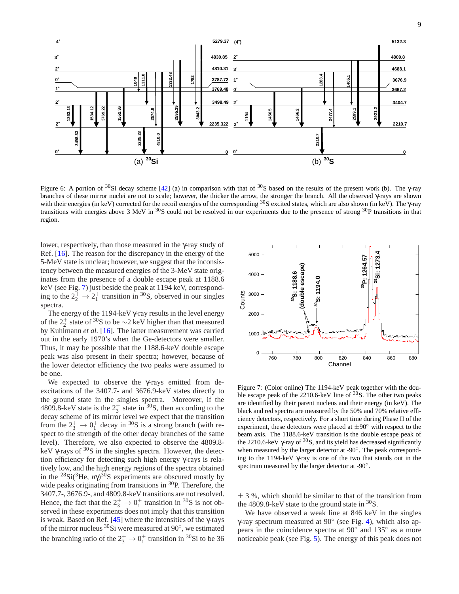

Figure 6: A portion of <sup>30</sup>Si decay scheme [42] (a) in comparison with that of <sup>30</sup>S based on the results of the present work (b). The γ-ray branches of these mirror nuclei are not to scale; however, the thicker the arrow, the stronger the branch. All the observed γ-rays are shown with their energies (in keV) corrected for the recoil energies of the corresponding <sup>30</sup>S excited states, which are also shown (in keV). The γ-ray transitions with energies above 3 MeV in  $\frac{30}{5}$  could not be resolved in our experiments due to the presence of strong  $\frac{30}{5}$  transitions in that region.

lower, respectively, than those measured in the γ-ray study of Ref. [16]. The reason for the discrepancy in the energy of the 5-MeV state is unclear; however, we suggest that the inconsistency between the measured energies of the 3-MeV state originates from the presence of a double escape peak at 1188.6 keV (see Fig. 7) just beside the peak at 1194 keV, corresponding to the  $2^+_2 \rightarrow 2^+_1$  transition in <sup>30</sup>S, observed in our singles spectra.

The energy of the 1194-keV γ-ray results in the level energy of the  $2^+_2$  state of <sup>30</sup>S to be  $\sim$ 2 keV higher than that measured by Kuhlmann *et al.* [16]. The latter measurement was carried out in the early 1970's when the Ge-detectors were smaller. Thus, it may be possible that the 1188.6-keV double escape peak was also present in their spectra; however, because of the lower detector efficiency the two peaks were assumed to be one.

We expected to observe the γ-rays emitted from deexcitations of the 3407.7- and 3676.9-keV states directly to the ground state in the singles spectra. Moreover, if the 4809.8-keV state is the  $2^+_3$  state in <sup>30</sup>S, then according to the decay scheme of its mirror level we expect that the transition from the  $2^+_3 \rightarrow 0^+_1$  decay in <sup>30</sup>S is a strong branch (with respect to the strength of the other decay branches of the same level). Therefore, we also expected to observe the 4809.8 keV  $\gamma$ -rays of  ${}^{30}S$  in the singles spectra. However, the detection efficiency for detecting such high energy γ-rays is relatively low, and the high energy regions of the spectra obtained in the <sup>28</sup>Si(<sup>3</sup>He,  $n\gamma$ )<sup>30</sup>S experiments are obscured mostly by wide peaks originating from transitions in <sup>30</sup>P. Therefore, the 3407.7-, 3676.9-, and 4809.8-keV transitions are not resolved. Hence, the fact that the  $2^+_3 \rightarrow 0^+_1$  transition in <sup>30</sup>S is not observed in these experiments does not imply that this transition is weak. Based on Ref. [45] where the intensities of the  $\gamma$ -rays of the mirror nucleus  $30Si$  were measured at  $90^{\circ}$ , we estimated the branching ratio of the  $2^+_3 \rightarrow 0^+_1$  transition in <sup>30</sup>Si to be 36



Figure 7: (Color online) The 1194-keV peak together with the double escape peak of the 2210.6-keV line of <sup>30</sup>S. The other two peaks are identified by their parent nucleus and their energy (in keV). The black and red spectra are measured by the 50% and 70% relative efficiency detectors, respectively. For a short time during Phase II of the experiment, these detectors were placed at  $\pm 90^\circ$  with respect to the beam axis. The 1188.6-keV transition is the double escape peak of the 2210.6-keV  $\gamma$ -ray of <sup>30</sup>S, and its yield has decreased significantly when measured by the larger detector at -90°. The peak corresponding to the 1194-keV γ-ray is one of the two that stands out in the spectrum measured by the larger detector at -90°.

 $\pm$  3 %, which should be similar to that of the transition from the 4809.8-keV state to the ground state in  ${}^{30}S$ .

We have observed a weak line at 846 keV in the singles γ-ray spectrum measured at 90◦ (see Fig. 4), which also appears in the coincidence spectra at 90° and 135° as a more noticeable peak (see Fig. 5). The energy of this peak does not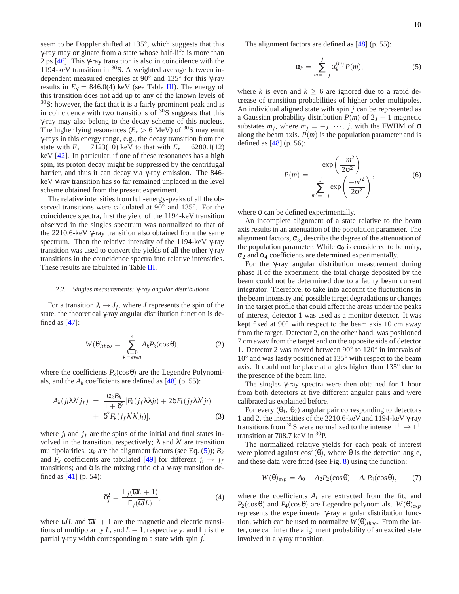seem to be Doppler shifted at 135°, which suggests that this γ-ray may originate from a state whose half-life is more than 2 ps [46]. This γ-ray transition is also in coincidence with the 1194-keV transition in  ${}^{30}$ S. A weighted average between independent measured energies at 90° and 135° for this γ-ray results in  $E<sub>Y</sub> = 846.0(4)$  keV (see Table III). The energy of this transition does not add up to any of the known levels of  $30$ S; however, the fact that it is a fairly prominent peak and is in coincidence with two transitions of  $30S$  suggests that this γ-ray may also belong to the decay scheme of this nucleus. The higher lying resonances ( $E_x > 6$  MeV) of <sup>30</sup>S may emit γ-rays in this energy range, e.g., the decay transition from the state with  $E_x = 7123(10)$  keV to that with  $E_x = 6280.1(12)$ keV [42]. In particular, if one of these resonances has a high spin, its proton decay might be suppressed by the centrifugal barrier, and thus it can decay via γ-ray emission. The 846 keV γ-ray transition has so far remained unplaced in the level scheme obtained from the present experiment.

The relative intensities from full-energy-peaks of all the observed transitions were calculated at  $90^\circ$  and  $135^\circ$ . For the coincidence spectra, first the yield of the 1194-keV transition observed in the singles spectrum was normalized to that of the 2210.6-keV γ-ray transition also obtained from the same spectrum. Then the relative intensity of the 1194-keV γ-ray transition was used to convert the yields of all the other γ-ray transitions in the coincidence spectra into relative intensities. These results are tabulated in Table III.

#### 2.2. *Singles measurements:* γ*-ray angular distributions*

For a transition  $J_i \rightarrow J_f$ , where *J* represents the spin of the state, the theoretical γ-ray angular distribution function is defined as  $[47]$ :

$$
W(\theta)_{theo} = \sum_{\substack{k=0\\k=even}}^{4} A_k P_k(\cos \theta), \qquad (2)
$$

where the coefficients  $P_k(\cos \theta)$  are the Legendre Polynomials, and the  $A_k$  coefficients are defined as  $[48]$  (p. 55):

$$
A_k(j_i\lambda\lambda'j_f) = \frac{\alpha_k B_k}{1+\delta^2} [F_k(j_f\lambda\lambda j_i) + 2\delta F_k(j_f\lambda\lambda' j_i) + \delta^2 F_k(j_f\lambda'\lambda' j_i)], \qquad (3)
$$

where  $j_i$  and  $j_f$  are the spins of the initial and final states involved in the transition, respectively;  $\lambda$  and  $\lambda'$  are transition multipolarities;  $\alpha_k$  are the alignment factors (see Eq. (5));  $B_k$ and  $F_k$  coefficients are tabulated [49] for different  $j_i \rightarrow j_f$ transitions; and δ is the mixing ratio of a γ-ray transition defined as [41] (p. 54):

$$
\delta_j^2 = \frac{\Gamma_j(\overline{\omega}L + 1)}{\Gamma_j(\overline{\omega}L)},\tag{4}
$$

where  $\omega' L$  and  $\overline{\omega} L + 1$  are the magnetic and electric transitions of multipolarity *L*, and  $L + 1$ , respectively; and  $\Gamma_j$  is the partial γ-ray width corresponding to a state with spin *j*.

The alignment factors are defined as [48] (p. 55):

$$
\alpha_k = \sum_{m=-j}^{j} \alpha_k^{(m)} P(m), \qquad (5)
$$

where *k* is even and  $k \ge 6$  are ignored due to a rapid decrease of transition probabilities of higher order multipoles. An individual aligned state with spin *j* can be represented as a Gaussian probability distribution  $P(m)$  of  $2j + 1$  magnetic substates  $m_j$ , where  $m_j = -j$ ,  $\cdots$ , *j*, with the FWHM of  $\sigma$ along the beam axis.  $P(m)$  is the population parameter and is defined as [48] (p. 56):

$$
P(m) = \frac{\exp\left(\frac{-m^2}{2\sigma^2}\right)}{\sum_{m'=-j}^{j} \exp\left(\frac{-m'^2}{2\sigma^2}\right)},
$$
(6)

where  $\sigma$  can be defined experimentally.

An incomplete alignment of a state relative to the beam axis results in an attenuation of the population parameter. The alignment factors,  $\alpha_k$ , describe the degree of the attenuation of the population parameter. While  $\alpha_0$  is considered to be unity,  $\alpha_2$  and  $\alpha_4$  coefficients are determined experimentally.

For the γ-ray angular distribution measurement during phase II of the experiment, the total charge deposited by the beam could not be determined due to a faulty beam current integrator. Therefore, to take into account the fluctuations in the beam intensity and possible target degradations or changes in the target profile that could affect the areas under the peaks of interest, detector 1 was used as a monitor detector. It was kept fixed at  $90°$  with respect to the beam axis 10 cm away from the target. Detector 2, on the other hand, was positioned 7 cm away from the target and on the opposite side of detector 1. Detector 2 was moved between 90<sup>°</sup> to 120<sup>°</sup> in intervals of 10◦ and was lastly positioned at 135◦ with respect to the beam axis. It could not be place at angles higher than 135◦ due to the presence of the beam line.

The singles  $\gamma$ -ray spectra were then obtained for 1 hour from both detectors at five different angular pairs and were calibrated as explained before.

For every  $(\theta_1, \theta_2)$  angular pair corresponding to detectors 1 and 2, the intensities of the 2210.6-keV and 1194-keV γ-ray transitions from <sup>30</sup>S were normalized to the intense  $1^+ \rightarrow 1^+$ transition at 708.7 keV in <sup>30</sup>P.

The normalized relative yields for each peak of interest were plotted against  $\cos^2(\theta)$ , where  $\theta$  is the detection angle, and these data were fitted (see Fig. 8) using the function:

$$
W(\theta)_{exp} = A_0 + A_2 P_2(\cos \theta) + A_4 P_4(\cos \theta), \qquad (7)
$$

where the coefficients  $A_i$  are extracted from the fit, and *P*<sub>2</sub>(cosθ) and *P*<sub>4</sub>(cosθ) are Legendre polynomials. *W*(θ)<sub>*exp*</sub> represents the experimental γ-ray angular distribution function, which can be used to normalize  $W(\theta)_{theo}$ . From the latter, one can infer the alignment probability of an excited state involved in a γ-ray transition.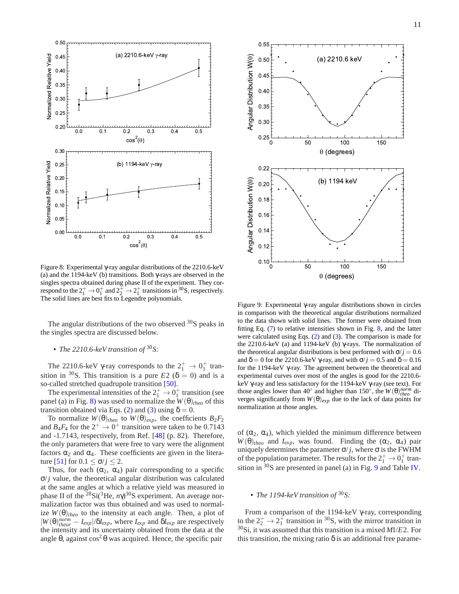

Figure 8: Experimental γ-ray angular distributions of the 2210.6-keV (a) and the 1194-keV (b) transitions. Both γ-rays are observed in the singles spectra obtained during phase II of the experiment. They correspond to the  $2^+_1 \rightarrow 0^+_1$  and  $2^+_2 \rightarrow 2^+_1$  transitions in <sup>30</sup>S, respectively. The solid lines are best fits to Legendre polynomials.

The angular distributions of the two observed  $30S$  peaks in the singles spectra are discussed below.

# • *The 2210.6-keV transition of* <sup>30</sup>*S:*

The 2210.6-keV  $\gamma$ -ray corresponds to the  $2^+_1 \rightarrow 0^+_1$  transition in <sup>30</sup>S. This transition is a pure *E*2 ( $\delta$  = 0) and is a so-called stretched quadrupole transition [50].

The experimental intensities of the  $2^+_1 \rightarrow 0^+_1$  transition (see panel (a) in Fig. 8) was used to normalize the  $W(\theta)_{theo}$  of this transition obtained via Eqs. (2) and (3) using  $\delta = 0$ .

To normalize  $W(\theta)_{theo}$  to  $W(\theta)_{exp}$ , the coefficients  $B_2F_2$ and  $B_4F_4$  for the  $2^+ \rightarrow 0^+$  transition were taken to be 0.7143 and -1.7143, respectively, from Ref. [48] (p. 82). Therefore, the only parameters that were free to vary were the alignment factors  $\alpha_2$  and  $\alpha_4$ . These coefficients are given in the literature [51] for  $0.1 \le \sigma/j \le 2$ .

Thus, for each  $(\alpha_2, \alpha_4)$  pair corresponding to a specific  $\sigma$ /*j* value, the theoretical angular distribution was calculated at the same angles at which a relative yield was measured in phase II of the <sup>28</sup>Si(<sup>3</sup>He,  $n\gamma$ )<sup>30</sup>S experiment. An average normalization factor was thus obtained and was used to normalize  $W(\theta)_{theo}$  to the intensity at each angle. Then, a plot of  $|W(\theta)_{theor}^{norm} - I_{exp}|/\delta I_{exp}$ , where  $I_{exp}$  and  $\delta I_{exp}$  are respectively the intensity and its uncertainty obtained from the data at the angle  $\theta$ , against cos<sup>2</sup> $\theta$  was acquired. Hence, the specific pair



Figure 9: Experimental γ-ray angular distributions shown in circles in comparison with the theoretical angular distributions normalized to the data shown with solid lines. The former were obtained from fitting Eq. (7) to relative intensities shown in Fig. 8, and the latter were calculated using Eqs. (2) and (3). The comparison is made for the 2210.6-keV (a) and 1194-keV (b) γ-rays. The normalization of the theoretical angular distributions is best performed with  $\sigma$ / $j = 0.6$ and  $\delta = 0$  for the 2210.6-keV γ-ray, and with  $\sigma / j = 0.5$  and  $\delta = 0.16$ for the 1194-keV γ-ray. The agreement between the theoretical and experimental curves over most of the angles is good for the 2210.6 keV γ-ray and less satisfactory for the 1194-keV γ-ray (see text). For those angles lower than 40<sup>°</sup> and higher than 150<sup>°</sup>, the  $W(\theta)_{theo}^{norm}$  diverges significantly from  $W(\theta)_{exp}$  due to the lack of data points for normalization at those angles.

of  $(\alpha_2, \alpha_4)$ , which yielded the minimum difference between  $W(\theta)$ <sub>theo</sub> and *I*<sub>exp</sub>, was found. Finding the ( $\alpha_2$ ,  $\alpha_4$ ) pair uniquely determines the parameter  $\sigma / j$ , where  $\sigma$  is the FWHM of the population parameter. The results for the  $2^+_1 \rightarrow 0^+_1$  transition in <sup>30</sup>S are presented in panel (a) in Fig. 9 and Table IV.

# • *The 1194-keV transition of* <sup>30</sup>*S:*

From a comparison of the 1194-keV γ-ray, corresponding to the  $2^+_2 \rightarrow 2^+_1$  transition in <sup>30</sup>S, with the mirror transition in <sup>30</sup>Si, it was assumed that this transition is a mixed *M*1/*E*2. For this transition, the mixing ratio  $\delta$  is an additional free parame-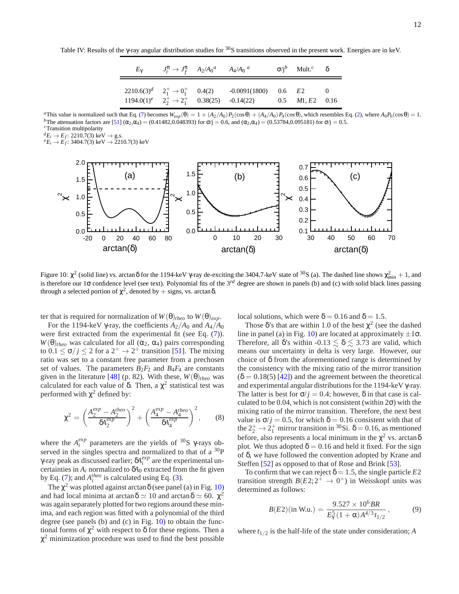Table IV: Results of the  $\gamma$ -ray angular distribution studies for  $30$ S transitions observed in the present work. Energies are in keV.

| $E_{\gamma}$ | $J_i^{\pi} \to J_f^{\pi}$ $A_2/A_0^a$ $A_4/A_0^a$ |                                                                                                                                                                         | $\sigma/i^b$ Mult. <sup>c</sup> $\delta$ |  |
|--------------|---------------------------------------------------|-------------------------------------------------------------------------------------------------------------------------------------------------------------------------|------------------------------------------|--|
|              |                                                   | $2210.6(3)^d$ $2^+_1 \rightarrow 0^+_1$ $0.4(2)$ $-0.0091(1800)$ $0.6$ E2<br>$1194.0(1)^e$ $2^+_2 \rightarrow 2^+_1$ 0.38(25) -0.14(22) 0.5 <i>M</i> 1, <i>E</i> 2 0.16 |                                          |  |

*a*This value is normalized such that Eq. (7) becomes  $W_{exp}(\theta) = 1 + (A_2/A_0)P_2(\cos\theta) + (A_4/A_0)P_4(\cos\theta)$ , which resembles Eq. (2), where  $A_0P_0(\cos\theta) = 1$ . *b*The attenuation factors are [51]  $(\alpha_2, \alpha_4) = (0.41482, 0.048393)$  for  $\sigma/j = 0.6$ , and  $(\alpha_2, \alpha_4) = (0.53784, 0.095181)$  for  $\sigma/j = 0.5$ . *<sup>c</sup>*Transition multipolarity

*d*<sub>E</sub><sub>*i*</sub> → E<sub>*f*</sub>: 2210.7(3) keV → g.s.<br> *e*<sub>E</sub><sub>*i*</sub> → E<sub>*f*</sub>: 3404.7(3) keV → 2210.7(3) keV



Figure 10:  $\chi^2$  (solid line) vs. arctanδ for the 1194-keV γ-ray de-exciting the 3404.7-keV state of <sup>30</sup>S (a). The dashed line shows  $\chi^2_{min} + 1$ , and is therefore our 1 $\sigma$  confidence level (see text). Polynomial fits of the 3<sup>rd</sup> degree are shown in panels (b) and (c) with solid black lines passing through a selected portion of  $\chi^2$ , denoted by  $+$  signs, vs. arctan  $\delta$ .

ter that is required for normalization of  $W(\theta)_{theo}$  to  $W(\theta)_{exp}$ .

For the 1194-keV γ-ray, the coefficients  $A_2/A_0$  and  $A_4/A_0$ were first extracted from the experimental fit (see Eq.  $(7)$ ).  $W(\theta)_{theo}$  was calculated for all ( $\alpha_2$ ,  $\alpha_4$ ) pairs corresponding to  $0.1 \le \sigma / j \le 2$  for a  $2^+ \rightarrow 2^+$  transition [51]. The mixing ratio was set to a constant free parameter from a prechosen set of values. The parameters  $B_2F_2$  and  $B_4F_4$  are constants given in the literature [48] (p. 82). With these,  $W(\theta)_{theo}$  was calculated for each value of  $\delta$ . Then, a  $\chi^2$  statistical test was performed with  $\chi^2$  defined by:

$$
\chi^{2} = \left(\frac{A_{2}^{exp} - A_{2}^{theo}}{\delta A_{2}^{exp}}\right)^{2} + \left(\frac{A_{4}^{exp} - A_{4}^{theo}}{\delta A_{4}^{exp}}\right)^{2},\qquad(8)
$$

where the  $A_i^{exp}$  parameters are the yields of <sup>30</sup>S  $\gamma$ -rays observed in the singles spectra and normalized to that of a  $^{30}P$ γ-ray peak as discussed earlier; δ*A exp i* are the experimental uncertainties in  $A_i$  normalized to  $\delta A_0$  extracted from the fit given by Eq. (7); and  $A_i^{theo}$  is calculated using Eq. (3).

The  $\chi^2$  was plotted against arctan  $\delta$  (see panel (a) in Fig. 10) and had local minima at arctan  $\delta \simeq 10$  and arctan  $\delta \simeq 60$ .  $\chi^2$ was again separately plotted for two regions around these minima, and each region was fitted with a polynomial of the third degree (see panels (b) and (c) in Fig. 10) to obtain the functional forms of  $\chi^2$  with respect to  $\delta$  for these regions. Then a  $\chi^2$  minimization procedure was used to find the best possible local solutions, which were  $\delta = 0.16$  and  $\delta = 1.5$ .

Those  $\delta$ 's that are within 1.0 of the best  $\chi^2$  (see the dashed line in panel (a) in Fig. 10) are located at approximately  $\pm 1\sigma$ . Therefore, all  $\delta$ 's within  $-0.13 \leq \delta \leq 3.73$  are valid, which means our uncertainty in delta is very large. However, our choice of δ from the aforementioned range is determined by the consistency with the mixing ratio of the mirror transition  $(\delta = 0.18(5)$  [42]) and the agreement between the theoretical and experimental angular distributions for the 1194-keV γ-ray. The latter is best for  $\sigma$ / $i = 0.4$ ; however,  $\delta$  in that case is calculated to be 0.04, which is not consistent (within  $2\sigma$ ) with the mixing ratio of the mirror transition. Therefore, the next best value is  $\sigma / j = 0.5$ , for which  $\delta = 0.16$  consistent with that of the  $2^+_2 \rightarrow 2^+_1$  mirror transition in <sup>30</sup>Si.  $\delta = 0.16$ , as mentioned before, also represents a local minimum in the  $\chi^2$  vs. arctan  $\delta$ plot. We thus adopted  $\delta = 0.16$  and held it fixed. For the sign of δ, we have followed the convention adopted by Krane and Steffen [52] as opposed to that of Rose and Brink [53].

To confirm that we can reject  $\delta = 1.5$ , the single particle *E*2 transition strength  $B(E2; 2^{\perp} \rightarrow 0^+)$  in Weisskopf units was determined as follows:

$$
B(E2)(\text{in W.u.}) = \frac{9.527 \times 10^6 BR}{E_7^5 (1 + \alpha) A^{4/3} t_{1/2}}, \tag{9}
$$

where  $t_{1/2}$  is the half-life of the state under consideration; *A*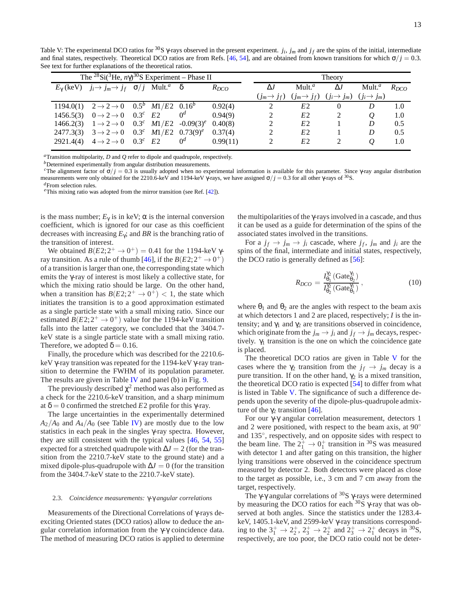Table V: The experimental DCO ratios for <sup>30</sup>S  $\gamma$ -rays observed in the present experiment. *j<sub>i</sub>*, *j<sub>m</sub>* and *j<sub>f</sub>* are the spins of the initial, intermediate and final states, respectively. Theoretical DCO ratios are from Refs. [46, 54], and are obtained from known transitions for which  $\sigma/j = 0.3$ . See text for further explanations of the theoretical ratios.

| The <sup>28</sup> Si( <sup>3</sup> He, $n\gamma$ ) <sup>30</sup> S Experiment – Phase II |                                                                                                          |  |  |       |           |  | Theory        |                                                                                                 |            |                    |           |
|------------------------------------------------------------------------------------------|----------------------------------------------------------------------------------------------------------|--|--|-------|-----------|--|---------------|-------------------------------------------------------------------------------------------------|------------|--------------------|-----------|
|                                                                                          | $E_{\gamma}$ (keV) $j_i \rightarrow j_m \rightarrow j_f$ $\sigma / j$ Mult. <sup><i>a</i></sup> $\delta$ |  |  |       | $R_{DCO}$ |  | $\Delta J$    | Mult. <sup>a</sup>                                                                              | $\Delta J$ | Mult. <sup>a</sup> | $R_{DCO}$ |
|                                                                                          |                                                                                                          |  |  |       |           |  |               | $(j_m \rightarrow j_f)$ $(j_m \rightarrow j_f)$ $(j_i \rightarrow j_m)$ $(j_i \rightarrow j_m)$ |            |                    |           |
|                                                                                          | 1194.0(1) $2 \rightarrow 2 \rightarrow 0$ $0.5^b$ $M1/E2$ $0.16^b$                                       |  |  |       | 0.92(4)   |  | 2             | E <sub>2</sub>                                                                                  |            | D                  | 1.0       |
|                                                                                          | 1456.5(3) $0 \rightarrow 2 \rightarrow 0$ $0.3^c$ E2                                                     |  |  | $0^d$ | 0.94(9)   |  | 2             | E <sub>2</sub>                                                                                  |            | $\omega$           | -1.0      |
|                                                                                          | 1466.2(3) $1 \rightarrow 2 \rightarrow 0$ 0.3 <sup>c</sup> $M1/E2$ -0.09(3) <sup>e</sup>                 |  |  |       | 0.40(8)   |  | 2             | E <sub>2</sub>                                                                                  |            | D                  | 0.5       |
|                                                                                          | 2477.3(3) $3 \rightarrow 2 \rightarrow 0$ 0.3 <sup>c</sup> M1/E2 0.73(9) <sup>e</sup>                    |  |  |       | 0.37(4)   |  | 2             | E <sub>2</sub>                                                                                  |            | D                  | 0.5       |
| 2921.4(4)                                                                                | $4 \rightarrow 2 \rightarrow 0$ 0.3 <sup>c</sup> E2                                                      |  |  | $0^d$ | 0.99(11)  |  | $\mathcal{L}$ | E2                                                                                              |            | O                  | 1.0       |

*<sup>a</sup>*Transition multipolarity, *D* and *Q* refer to dipole and quadrupole, respectively.

*b*Determined experimentally from angular distribution measurements.

*c*The alignment factor of  $\sigma / j = 0.3$  is usually adopted when no experimental information is available for this parameter. Since γ-ray angular distribution measurements were only obtained for the 2210.6-keV and 1194-keV  $\gamma$ -rays, we have assigned  $\sigma/j = 0.3$  for all other  $\gamma$ -rays of <sup>30</sup>S. *<sup>d</sup>*From selection rules.

*<sup>e</sup>*This mixing ratio was adopted from the mirror transition (see Ref. [42]).

is the mass number;  $E_{\gamma}$  is in keV;  $\alpha$  is the internal conversion coefficient, which is ignored for our case as this coefficient decreases with increasing *E*γ; and *BR* is the branching ratio of the transition of interest.

We obtained  $B(E2; 2^+ \rightarrow 0^+) = 0.41$  for the 1194-keV  $\gamma$ ray transition. As a rule of thumb [46], if the  $B(E2; 2^+ \rightarrow 0^+)$ of a transition is larger than one, the corresponding state which emits the γ-ray of interest is most likely a collective state, for which the mixing ratio should be large. On the other hand, when a transition has  $B(E2; 2^+ \rightarrow 0^+) < 1$ , the state which initiates the transition is to a good approximation estimated as a single particle state with a small mixing ratio. Since our estimated  $B(E2; 2^+ \rightarrow 0^+)$  value for the 1194-keV transition falls into the latter category, we concluded that the 3404.7 keV state is a single particle state with a small mixing ratio. Therefore, we adopted  $\delta = 0.16$ .

Finally, the procedure which was described for the 2210.6 keV γ-ray transition was repeated for the 1194-keV γ-ray transition to determine the FWHM of its population parameter. The results are given in Table IV and panel (b) in Fig. 9.

The previously described  $\chi^2$  method was also performed as a check for the 2210.6-keV transition, and a sharp minimum at  $δ = 0$  confirmed the stretched *E*2 profile for this γ-ray.

The large uncertainties in the experimentally determined  $A_2/A_0$  and  $A_4/A_0$  (see Table IV) are mostly due to the low statistics in each peak in the singles γ-ray spectra. However, they are still consistent with the typical values [46, 54, 55] expected for a stretched quadrupole with  $\Delta J = 2$  (for the transition from the 2210.7-keV state to the ground state) and a mixed dipole-plus-quadrupole with  $\Delta J = 0$  (for the transition from the 3404.7-keV state to the 2210.7-keV state).

#### 2.3. *Coincidence measurements:* γ*-*γ *angular correlations*

Measurements of the Directional Correlations of γ-rays deexciting Oriented states (DCO ratios) allow to deduce the angular correlation information from the γ-γ coincidence data. The method of measuring DCO ratios is applied to determine

the multipolarities of the γ-rays involved in a cascade, and thus it can be used as a guide for determination of the spins of the associated states involved in the transitions.

For a  $j_f \rightarrow j_m \rightarrow j_i$  cascade, where  $j_f$ ,  $j_m$  and  $j_i$  are the spins of the final, intermediate and initial states, respectively, the DCO ratio is generally defined as [56]:

$$
R_{DCO} = \frac{I_{\theta_1}^{\gamma_2} \left( \text{Gate}_{\theta_2}^{\gamma_1} \right)}{I_{\theta_2}^{\gamma_2} \left( \text{Gate}_{\theta_1}^{\gamma_1} \right)},\tag{10}
$$

where  $\theta_1$  and  $\theta_2$  are the angles with respect to the beam axis at which detectors 1 and 2 are placed, respectively; *I* is the intensity; and  $\gamma_1$  and  $\gamma_2$  are transitions observed in coincidence, which originate from the  $j_m \rightarrow j_i$  and  $j_f \rightarrow j_m$  decays, respectively.  $\gamma_1$  transition is the one on which the coincidence gate is placed.

The theoretical DCO ratios are given in Table V for the cases where the  $\gamma_2$  transition from the  $j_f \rightarrow j_m$  decay is a pure transition. If on the other hand,  $\gamma_2$  is a mixed transition, the theoretical DCO ratio is expected [54] to differ from what is listed in Table V. The significance of such a difference depends upon the severity of the dipole-plus-quadrupole admixture of the  $\gamma_2$  transition [46].

For our γ-γ angular correlation measurement, detectors 1 and 2 were positioned, with respect to the beam axis, at 90<sup>°</sup> and 135◦ , respectively, and on opposite sides with respect to the beam line. The  $2^+_1 \rightarrow 0^+_1$  transition in <sup>30</sup>S was measured with detector 1 and after gating on this transition, the higher lying transitions were observed in the coincidence spectrum measured by detector 2. Both detectors were placed as close to the target as possible, i.e., 3 cm and 7 cm away from the target, respectively.

The  $\gamma$ - $\gamma$  angular correlations of <sup>30</sup>S  $\gamma$ -rays were determined by measuring the DCO ratios for each  $30\overline{S}$   $\gamma$ -ray that was observed at both angles. Since the statistics under the 1283.4 keV, 1405.1-keV, and 2599-keV γ-ray transitions corresponding to the  $3^+_1 \rightarrow 2^+_2$ ,  $2^+_3 \rightarrow 2^+_2$  and  $2^+_3 \rightarrow 2^+_1$  decays in <sup>30</sup>S, respectively, are too poor, the DCO ratio could not be deter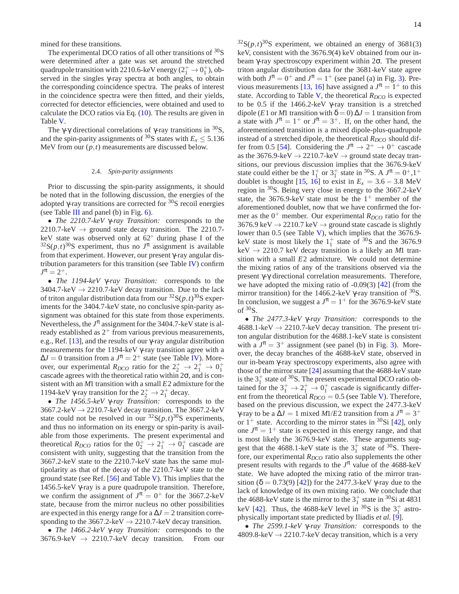mined for these transitions.

The experimental DCO ratios of all other transitions of  $30$ S were determined after a gate was set around the stretched quadrupole transition with 2210.6-keV energy ( $2^+_1 \rightarrow 0^+_1$ ), observed in the singles γ-ray spectra at both angles, to obtain the corresponding coincidence spectra. The peaks of interest in the coincidence spectra were then fitted, and their yields, corrected for detector efficiencies, were obtained and used to calculate the DCO ratios via Eq. (10). The results are given in Table V.

The γ-γ directional correlations of γ-ray transitions in  ${}^{30}S$ , and the spin-parity assignments of <sup>30</sup>S states with  $E_x \le 5.136$ MeV from our  $(p, t)$  measurements are discussed below.

#### 2.4. *Spin-parity assignments*

Prior to discussing the spin-parity assignments, it should be noted that in the following discussion, the energies of the adopted  $\gamma$ -ray transitions are corrected for  $\frac{30}{\text{S}}$  recoil energies (see Table III and panel (b) in Fig.  $6$ ).

• *The 2210.7-keV* γ*-ray Transition:* corresponds to the 2210.7-keV  $\rightarrow$  ground state decay transition. The 2210.7keV state was observed only at 62◦ during phase I of the  $32S(p,t)$ <sup>30</sup>S experiment, thus no  $J^{\pi}$  assignment is available from that experiment. However, our present γ-ray angular distribution parameters for this transition (see Table IV) confirm  $J^{\pi} = 2^{+}.$ 

• *The 1194-keV* γ*-ray Transition:* corresponds to the 3404.7-keV  $\rightarrow$  2210.7-keV decay transition. Due to the lack of triton angular distribution data from our  ${}^{32}S(p,t) {}^{30}S$  experiments for the 3404.7-keV state, no conclusive spin-parity assignment was obtained for this state from those experiments. Nevertheless, the *J* π assignment for the 3404.7-keV state is already established as  $2^+$  from various previous measurements, e.g., Ref. [13], and the results of our γ-ray angular distribution measurements for the 1194-keV γ-ray transition agree with a  $\Delta J = 0$  transition from a  $J^{\pi} = 2^+$  state (see Table IV). Moreover, our experimental  $R_{DCO}$  ratio for the  $2^+_2 \rightarrow 2^+_1 \rightarrow 0^+_1$ cascade agrees with the theoretical ratio within  $2\sigma$ , and is consistent with an *M*1 transition with a small *E*2 admixture for the 1194-keV γ-ray transition for the  $2^+_2 \rightarrow 2^+_1$  decay.

• *The 1456.5-keV* γ*-ray Transition:* corresponds to the 3667.2-keV  $\rightarrow$  2210.7-keV decay transition. The 3667.2-keV state could not be resolved in our  ${}^{32}S(p,t){}^{30}S$  experiments, and thus no information on its energy or spin-parity is available from those experiments. The present experimental and theoretical  $R_{DCO}$  ratios for the  $0^+_2 \rightarrow 2^+_1 \rightarrow 0^+_1$  cascade are consistent with unity, suggesting that the transition from the 3667.2-keV state to the 2210.7-keV state has the same multipolarity as that of the decay of the 2210.7-keV state to the ground state (see Ref.  $[56]$  and Table V). This implies that the 1456.5-keV γ-ray is a pure quadrupole transition. Therefore, we confirm the assignment of  $J^{\pi} = 0^+$  for the 3667.2-keV state, because from the mirror nucleus no other possibilities are expected in this energy range for a  $\Delta J = 2$  transition corresponding to the 3667.2-keV  $\rightarrow$  2210.7-keV decay transition.

• *The 1466.2-keV* γ*-ray Transition:* corresponds to the  $3676.9\text{-keV} \rightarrow 2210.7\text{-keV}$  decay transition. From our

 $32S(p,t)$ <sup>30</sup>S experiment, we obtained an energy of 3681(3) keV, consistent with the 3676.9(4) keV obtained from our inbeam γ-ray spectroscopy experiment within 2σ. The present triton angular distribution data for the 3681-keV state agree with both  $J^{\pi} = 0^+$  and  $J^{\pi} = 1^+$  (see panel (a) in Fig. 3). Previous measurements [13, 16] have assigned a  $J^{\pi} = 1^{+}$  to this state. According to Table V, the theoretical  $R_{DCO}$  is expected to be 0.5 if the 1466.2-keV γ-ray transition is a stretched dipole (*E*1 or *M*1 transition with  $\delta = 0$ )  $\Delta J = 1$  transition from a state with  $J^{\pi} = 1^{+}$  or  $J^{\pi} = 3^{+}$ . If, on the other hand, the aforementioned transition is a mixed dipole-plus-quadrupole instead of a stretched dipole, the theoretical  $R_{DCO}$  should differ from 0.5 [54]. Considering the  $J^{\pi} \to 2^+ \to 0^+$  cascade as the 3676.9-keV  $\rightarrow$  2210.7-keV  $\rightarrow$  ground state decay transitions, our previous discussion implies that the 3676.9-keV state could either be the  $1^+_1$  or  $3^+_1$  state in <sup>30</sup>S. A  $J^{\pi} = 0^+, 1^+$ doublet is thought [15, 16] to exist in  $E_x = 3.6 - 3.8$  MeV region in <sup>30</sup>S. Being very close in energy to the 3667.2-keV state, the 3676.9-keV state must be the  $1^+$  member of the aforementioned doublet, now that we have confirmed the former as the  $0^+$  member. Our experimental  $R_{DCO}$  ratio for the 3676.9 keV  $\rightarrow$  2210.7 keV  $\rightarrow$  ground state cascade is slightly lower than 0.5 (see Table V), which implies that the 3676.9 keV state is most likely the  $1<sub>1</sub><sup>+</sup>$  state of <sup>30</sup>S and the 3676.9  $keV \rightarrow 2210.7 \text{ keV}$  decay transition is a likely an *M*1 transition with a small *E*2 admixture. We could not determine the mixing ratios of any of the transitions observed via the present γ-γ directional correlation measurements. Therefore, we have adopted the mixing ratio of -0.09(3) [42] (from the mirror transition) for the 1466.2-keV  $\gamma$ -ray transition of <sup>30</sup>S. In conclusion, we suggest a  $J^{\pi} = 1^{+}$  for the 3676.9-keV state of  $30<sub>S</sub>$ .

• *The 2477.3-keV* γ*-ray Transition:* corresponds to the  $4688.1\text{-keV} \rightarrow 2210.7\text{-keV}$  decay transition. The present triton angular distribution for the 4688.1-keV state is consistent with a  $J^{\pi} = 3^+$  assignment (see panel (b) in Fig. 3). Moreover, the decay branches of the 4688-keV state, observed in our in-beam γ-ray spectroscopy experiments, also agree with those of the mirror state [24] assuming that the 4688-keV state is the  $3^+_1$  state of <sup>30</sup>S. The present experimental DCO ratio obtained for the  $3^+_1 \rightarrow 2^+_1 \rightarrow 0^+_1$  cascade is significantly different from the theoretical  $R_{DCO} = 0.5$  (see Table V). Therefore, based on the previous discussion, we expect the 2477.3-keV  $γ$ -ray to be a  $ΔJ = 1$  mixed  $M1/E2$  transition from a  $J^π = 3^+$ or  $1^+$  state. According to the mirror states in  ${}^{30}Si$  [42], only one  $J^{\pi} = 1^{+}$  state is expected in this energy range, and that is most likely the 3676.9-keV state. These arguments suggest that the 4688.1-keV state is the  $3^+_1$  state of <sup>30</sup>S. Therefore, our experimental *RDCO* ratio also supplements the other present results with regards to the  $J^{\pi}$  value of the 4688-keV state. We have adopted the mixing ratio of the mirror transition ( $\delta = 0.73(9)$  [42]) for the 2477.3-keV  $\gamma$ -ray due to the lack of knowledge of its own mixing ratio. We conclude that the 4688-keV state is the mirror to the  $3^{+}_{1}$  state in <sup>30</sup>Si at 4831 keV [42]. Thus, the 4688-keV level in <sup>30</sup>S is the  $3<sup>+</sup>$  astrophysically important state predicted by Iliadis *et al.* [9].

• *The 2599.1-keV* γ*-ray Transition:* corresponds to the 4809.8-keV  $\rightarrow$  2210.7-keV decay transition, which is a very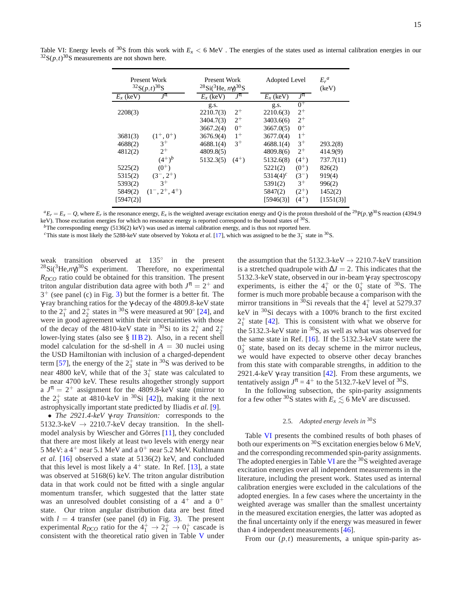|             | Present Work<br>${}^{32}S(p,t){}^{30}S$ | Present Work<br><sup>28</sup> Si( <sup>3</sup> He, $n\gamma$ ) <sup>30</sup> S | Adopted Level            | $E_r^a$<br>(keV) |
|-------------|-----------------------------------------|--------------------------------------------------------------------------------|--------------------------|------------------|
| $E_r$ (keV) | $J^{\pi}$                               | $J^{\pi}$<br>$E_r$ (keV)                                                       | $J^{\pi}$<br>$E_r$ (keV) |                  |
|             |                                         | g.s.                                                                           | $0+$<br>g.s.             |                  |
| 2208(3)     |                                         | $2^{+}$<br>2210.7(3)                                                           | $2^{+}$<br>2210.6(3)     |                  |
|             |                                         | $2^+$<br>3404.7(3)                                                             | $2^{+}$<br>3403.6(6)     |                  |
|             |                                         | $0^+$<br>3667.2(4)                                                             | $0^+$<br>3667.0(5)       |                  |
| 3681(3)     | $(1^+, 0^+)$                            | $1^{+}$<br>3676.9(4)                                                           | $1^{+}$<br>3677.0(4)     |                  |
| 4688(2)     | $3^+$                                   | $3^+$<br>4688.1(4)                                                             | $3^+$<br>4688.1(4)       | 293.2(8)         |
| 4812(2)     | $2^{+}$                                 | 4809.8(5)                                                                      | $2^{+}$<br>4809.8(6)     | 414.9(9)         |
|             | $(4^+)^b$                               | 5132.3(5)<br>$(4^{+})$                                                         | $(4^{+})$<br>5132.6(8)   | 737.7(11)        |
| 5225(2)     | $(0^{+})$                               |                                                                                | $(0^{+})$<br>5221(2)     | 826(2)           |
| 5315(2)     | $(3^-, 2^+)$                            |                                                                                | $5314(4)^c$<br>$(3^-)$   | 919(4)           |
| 5393(2)     | $3^+$                                   |                                                                                | $3^+$<br>5391(2)         | 996(2)           |
| 5849(2)     | $(1^-, 2^+, 4^+)$                       |                                                                                | $(2^{+})$<br>5847(2)     | 1452(2)          |
| [5947(2)]   |                                         |                                                                                | $(4^+)$<br>[5946(3)]     | [1551(3)]        |

Table VI: Energy levels of <sup>30</sup>S from this work with  $E_x < 6$  MeV. The energies of the states used as internal calibration energies in our  $32S(p,t)$ <sup>30</sup>S measurements are not shown here.

 ${}^aE_r = E_x - Q$ , where  $E_r$  is the resonance energy,  $E_x$  is the weighted average excitation energy and Q is the proton threshold of the <sup>29</sup>P(p,  $\gamma$ <sup>30</sup>S reaction (4394.9) keV). Those excitation energies for which no resonance energy is reported correspond to the bound states of <sup>30</sup>S.

*b*The corresponding energy (5136(2) keV) was used as internal calibration energy, and is thus not reported here.

<sup>c</sup>This state is most likely the 5288-keV state observed by Yokota *et al.* [17], which was assigned to be the  $3^{−}_1$  state in  $3^{0}$ S.

weak transition observed at 135° in the present <sup>28</sup>Si(3He,*n*γ) <sup>30</sup>S experiment. Therefore, no experimental *RDCO* ratio could be obtained for this transition. The present triton angular distribution data agree with both  $J^{\pi} = 2^{+}$  and 3 <sup>+</sup> (see panel (c) in Fig. 3) but the former is a better fit. The γ-ray branching ratios for the γ-decay of the 4809.8-keV state to the  $2^+_1$  and  $2^+_2$  states in <sup>30</sup>S were measured at 90 $\degree$  [24], and were in good agreement within their uncertainties with those of the decay of the 4810-keV state in <sup>30</sup>Si to its  $2^+_1$  and  $2^+_2$ lower-lying states (also see § IIB2). Also, in a recent shell model calculation for the sd-shell in  $A = 30$  nuclei using the USD Hamiltonian with inclusion of a charged-dependent term [57], the energy of the  $2^+_3$  state in <sup>30</sup>S was derived to be near 4800 keV, while that of the  $3<sub>1</sub><sup>+</sup>$  state was calculated to be near 4700 keV. These results altogether strongly support a  $J^{\pi} = 2^+$  assignment for the 4809.8-keV state (mirror to the  $2^+_3$  state at 4810-keV in <sup>30</sup>Si [42]), making it the next astrophysically important state predicted by Iliadis *et al.* [9].

• *The 2921.4-keV* γ*-ray Transition:* corresponds to the 5132.3-keV  $\rightarrow$  2210.7-keV decay transition. In the shellmodel analysis by Wiescher and Görres [11], they concluded that there are most likely at least two levels with energy near 5 MeV: a  $4^+$  near 5.1 MeV and a  $0^+$  near 5.2 MeV. Kuhlmann *et al.* [16] observed a state at 5136(2) keV, and concluded that this level is most likely a  $4^+$  state. In Ref. [13], a state was observed at 5168(6) keV. The triton angular distribution data in that work could not be fitted with a single angular momentum transfer, which suggested that the latter state was an unresolved doublet consisting of a  $4^+$  and a  $0^+$ state. Our triton angular distribution data are best fitted with  $l = 4$  transfer (see panel (d) in Fig. 3). The present experimental  $R_{DCO}$  ratio for the  $4^+_1 \rightarrow 2^+_1 \rightarrow 0^+_1$  cascade is consistent with the theoretical ratio given in Table V under

the assumption that the 5132.3-keV  $\rightarrow$  2210.7-keV transition is a stretched quadrupole with  $\Delta J = 2$ . This indicates that the 5132.3-keV state, observed in our in-beam γ-ray spectroscopy experiments, is either the  $4^+_1$  or the  $0^+_3$  state of <sup>30</sup>S. The former is much more probable because a comparison with the mirror transitions in  $\frac{30}{1}$ Si reveals that the  $4\frac{1}{1}$  level at 5279.37 keV in <sup>30</sup>Si decays with a 100% branch to the first excited  $2^+_1$  state [42]. This is consistent with what we observe for the 5132.3-keV state in <sup>30</sup>S, as well as what was observed for the same state in Ref. [16]. If the 5132.3-keV state were the  $0_3^+$  state, based on its decay scheme in the mirror nucleus, we would have expected to observe other decay branches from this state with comparable strengths, in addition to the 2921.4-keV  $\gamma$ -ray transition [42]. From these arguments, we tentatively assign  $J^{\pi} = 4^+$  to the 5132.7-keV level of <sup>30</sup>S.

In the following subsection, the spin-parity assignments for a few other <sup>30</sup>S states with  $E_x \le 6$  MeV are discussed.

# 2.5. *Adopted energy levels in* <sup>30</sup>*S*

Table VI presents the combined results of both phases of both our experiments on <sup>30</sup>S excitation energies below 6 MeV, and the corresponding recommended spin-parity assignments. The adopted energies in Table VI are the  ${}^{30}S$  weighted average excitation energies over all independent measurements in the literature, including the present work. States used as internal calibration energies were excluded in the calculations of the adopted energies. In a few cases where the uncertainty in the weighted average was smaller than the smallest uncertainty in the measured excitation energies, the latter was adopted as the final uncertainty only if the energy was measured in fewer than 4 independent measurements [46].

From our (*p*,*t*) measurements, a unique spin-parity as-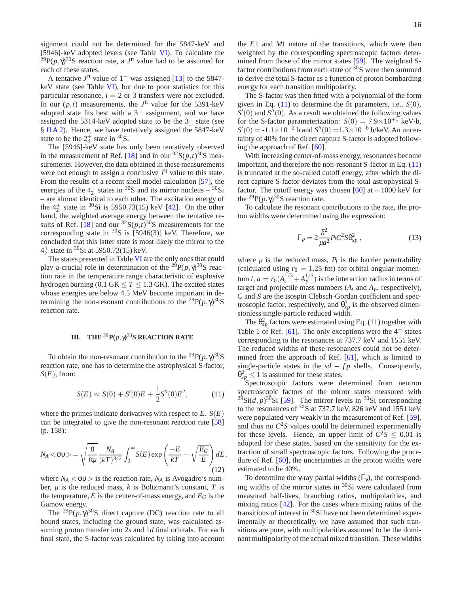signment could not be determined for the 5847-keV and [5946]-keV adopted levels (see Table VI). To calculate the <sup>29</sup>P( $p, \gamma$ )<sup>30</sup>S reaction rate, a  $J^{\pi}$  value had to be assumed for each of these states.

A tentative  $J^{\pi}$  value of 1<sup>-</sup> was assigned [13] to the 5847keV state (see Table VI), but due to poor statistics for this particular resonance,  $l = 2$  or 3 transfers were not excluded. In our  $(p,t)$  measurements, the  $J^{\pi}$  value for the 5391-keV adopted state fits best with a  $3^+$  assignment, and we have assigned the 5314-keV adopted state to be the  $3<sub>1</sub><sup>-</sup>$  state (see § II A 2). Hence, we have tentatively assigned the 5847-keV state to be the  $2^+_4$  state in <sup>30</sup>S.

The [5946]-keV state has only been tentatively observed in the measurement of Ref. [18] and in our  ${}^{32}S(p,t){}^{30}S$  measurements. However, the data obtained in these measurements were not enough to assign a conclusive  $J^{\pi}$  value to this state. From the results of a recent shell model calculation [57], the energies of the  $4^{+}_{2}$  states in <sup>30</sup>S and its mirror nucleus – <sup>30</sup>Si – are almost identical to each other. The excitation energy of the  $4^{+}_{2}$  state in <sup>30</sup>Si is 5950.73(15) keV [42]. On the other hand, the weighted average energy between the tentative results of Ref. [18] and our  ${}^{32}S(p,t){}^{30}S$  measurements for the corresponding state in  ${}^{30}S$  is [5946(3)] keV. Therefore, we concluded that this latter state is most likely the mirror to the  $4^{+}_{2}$  state in <sup>30</sup>Si at 5950.73(15) keV.

The states presented in Table VI are the only ones that could play a crucial role in determination of the  $^{29}P(p,\gamma)^{30}S$  reaction rate in the temperature range characteristic of explosive hydrogen burning (0.1 GK  $\leq T \leq 1.3$  GK). The excited states whose energies are below 4.5 MeV become important in determining the non-resonant contributions to the <sup>29</sup> $P(p, \gamma)^{30}$ S reaction rate.

### **III.** THE <sup>29</sup>  $\mathbf{P}(p,\gamma)^{30}$ **S** REACTION RATE

To obtain the non-resonant contribution to the <sup>29</sup> $P(p, \gamma)^{30}$ S reaction rate, one has to determine the astrophysical S-factor,  $S(E)$ , from:

$$
S(E) \approx S(0) + S'(0)E + \frac{1}{2}S''(0)E^2, \tag{11}
$$

where the primes indicate derivatives with respect to  $E$ .  $S(E)$ can be integrated to give the non-resonant reaction rate [58] (p. 158):

$$
N_A < \sigma v > = \sqrt{\frac{8}{\pi \mu}} \frac{N_A}{(kT)^{3/2}} \int_0^\infty S(E) \exp\left(\frac{-E}{kT} - \sqrt{\frac{E_G}{E}}\right) dE,
$$
\n(12)

where  $N_A < \sigma v >$  is the reaction rate,  $N_A$  is Avogadro's number,  $\mu$  is the reduced mass,  $k$  is Boltzmann's constant,  $T$  is the temperature,  $E$  is the center-of-mass energy, and  $E_G$  is the Gamow energy.

The <sup>29</sup> $P(p, \gamma)^{30}$ S direct capture (DC) reaction rate to all bound states, including the ground state, was calculated assuming proton transfer into 2*s* and 1*d* final orbitals. For each final state, the S-factor was calculated by taking into account the *E*1 and *M*1 nature of the transitions, which were then weighted by the corresponding spectroscopic factors determined from those of the mirror states [59]. The weighted Sfactor contributions from each state of  $30S$  were then summed to derive the total S-factor as a function of proton bombarding energy for each transition multipolarity.

The S-factor was then fitted with a polynomial of the form given in Eq. (11) to determine the fit parameters, i.e., *S*(0),  $S'(0)$  and  $S''(0)$ . As a result we obtained the following values for the S-factor parameterization:  $S(0) = 7.9 \times 10^{+1}$  keV·b,  $S'(0) = -1.1 \times 10^{-2}$  b and  $S''(0) = 1.3 \times 10^{-6}$  b/keV. An uncertainty of 40% for the direct capture S-factor is adopted following the approach of Ref. [60].

With increasing center-of-mass energy, resonances become important, and therefore the non-resonant S-factor in Eq. (11) is truncated at the so-called cutoff energy, after which the direct capture S-factor deviates from the total astrophysical Sfactor. The cutoff energy was chosen [60] at  $\sim$ 1000 keV for the <sup>29</sup> $P(p, \gamma)^{30}$ S reaction rate.

To calculate the resonant contributions to the rate, the proton widths were determined using the expression:

$$
\Gamma_p = 2 \frac{\hbar^2}{\mu a^2} P_l C^2 S \theta_{sp}^2 , \qquad (13)
$$

where  $\mu$  is the reduced mass,  $P_l$  is the barrier penetrability (calculated using  $r_0 = 1.25$  fm) for orbital angular momentum *l*,  $a = r_0(A_t^{1/3} + A_p^{1/3})$  is the interaction radius in terms of target and projectile mass numbers  $(A_t \text{ and } A_p, \text{ respectively}),$ *C* and *S* are the isospin Clebsch-Gordan coefficient and spectroscopic factor, respectively, and  $\theta_{sp}^2$  is the observed dimensionless single-particle reduced width.

The  $\theta_{sp}^2$  factors were estimated using Eq. (11) together with Table 1 of Ref. [61]. The only exceptions were the  $4^+$  states corresponding to the resonances at 737.7 keV and 1551 keV. The reduced widths of these resonances could not be determined from the approach of Ref. [61], which is limited to single-particle states in the  $sd - fp$  shells. Consequently,  $\theta_{sp}^2 \le 1$  is assumed for these states.

Spectroscopic factors were determined from neutron spectroscopic factors of the mirror states measured with  $^{29}Si(d, p)^{30}Si$  [59]. The mirror levels in <sup>30</sup>Si corresponding to the resonances of  ${}^{30}$ S at 737.7 keV, 826 keV and 1551 keV were populated very weakly in the measurement of Ref. [59], and thus no  $C^2S$  values could be determined experimentally for these levels. Hence, an upper limit of  $C^2S \leq 0.01$  is adopted for these states, based on the sensitivity for the extraction of small spectroscopic factors. Following the procedure of Ref. [60], the uncertainties in the proton widths were estimated to be 40%.

To determine the γ-ray partial widths  $(Γ<sub>γ</sub>)$ , the corresponding widths of the mirror states in  ${}^{30}Si$  were calculated from measured half-lives, branching ratios, multipolarities, and mixing ratios [42]. For the cases where mixing ratios of the transitions of interest in  ${}^{30}$ Si have not been determined experimentally or theoretically, we have assumed that such transitions are pure, with multipolarities assumed to be the dominant multipolarity of the actual mixed transition. These widths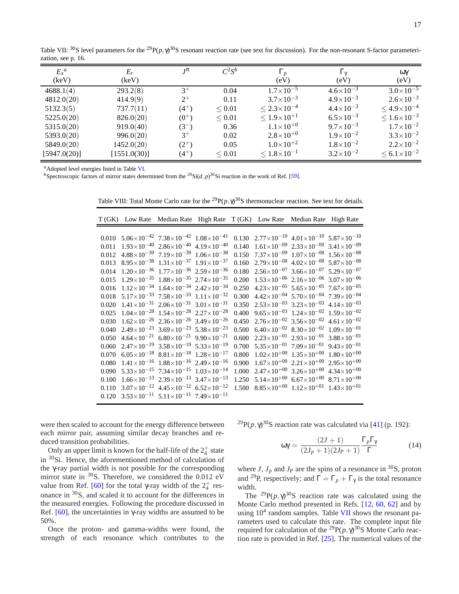17

Table VII: <sup>30</sup>S level parameters for the <sup>29</sup> P( $p, \gamma$ )<sup>30</sup>S resonant reaction rate (see text for discussion). For the non-resonant S-factor parameterization, see p. 16.

| $E_x^a$<br>(keV) | $E_r$<br>(keV) | $J^{\pi}$ | $C^2S^b$         | $\Gamma_p$<br>(eV)        | $\Gamma_{\nu}$<br>(eV) | ωγ<br>(eV)                |
|------------------|----------------|-----------|------------------|---------------------------|------------------------|---------------------------|
| 4688.1(4)        | 293.2(8)       | $3^+$     | 0.04             | $1.7\times10^{-5}$        | $4.6\times10^{-3}$     | $3.0\times10^{-5}$        |
| 4812.0(20)       | 414.9(9)       | $2^{+}$   | 0.11             | $3.7 \times 10^{-3}$      | $4.9 \times 10^{-3}$   | $2.6 \times 10^{-3}$      |
| 5132.3(5)        | 737.7(11)      | $(4^{+})$ | ${}_{\leq 0.01}$ | $\leq 2.3 \times 10^{-4}$ | $4.4 \times 10^{-3}$   | $\leq 4.9 \times 10^{-4}$ |
| 5225.0(20)       | 826.0(20)      | $(0^{+})$ | ${}_{\leq 0.01}$ | $\leq 1.9 \times 10^{+1}$ | $6.5 \times 10^{-3}$   | $\leq 1.6 \times 10^{-3}$ |
| 5315.0(20)       | 919.0(40)      | $(3^-)$   | 0.36             | $1.1 \times 10^{+0}$      | $9.7 \times 10^{-3}$   | $1.7\times10^{-2}$        |
| 5393.0(20)       | 996.0(20)      | $3^+$     | 0.02             | $2.8\times10^{+0}$        | $1.9\times10^{-2}$     | $3.3 \times 10^{-2}$      |
| 5849.0(20)       | 1452.0(20)     | $(2^{+})$ | 0.05             | $1.0\times10^{+2}$        | $1.8\times10^{-2}$     | $2.2\times10^{-2}$        |
| [5947.0(20)]     | [1551.0(30)]   | $(4^{+})$ | < 0.01           | $\leq 1.8\times10^{-1}$   | $3.2\times10^{-2}$     | $\leq 6.1 \times 10^{-2}$ |

*<sup>a</sup>*Adopted level energies listed in Table VI.

*b*Spectroscopic factors of mirror states determined from the <sup>29</sup>Si(*d*, *p*)<sup>30</sup>Si reaction in the work of Ref. [59].

Table VIII: Total Monte Carlo rate for the <sup>29</sup> $P(p, \gamma)^{30}$ S thermonuclear reaction. See text for details.

|       |                                                                      |       |                        | T (GK) Low Rate Median Rate High Rate T (GK) Low Rate Median Rate High Rate |                                 |
|-------|----------------------------------------------------------------------|-------|------------------------|-----------------------------------------------------------------------------|---------------------------------|
|       |                                                                      |       |                        |                                                                             |                                 |
| 0.010 | $5.06 \times 10^{-42}$ $7.38 \times 10^{-42}$ $1.08 \times 10^{-41}$ | 0.130 |                        | $2.77 \times 10^{-10}$ $4.01 \times 10^{-10}$ $5.87 \times 10^{-10}$        |                                 |
| 0.011 | $1.93\times10^{-40}$ $2.86\times10^{-40}$ $4.19\times10^{-40}$       | 0.140 | $1.61\times10^{-09}$   | $2.33\times10^{-09}$                                                        | $3.41 \times 10^{-09}$          |
| 0.012 | $4.88\times10^{-39}$ $7.19\times10^{-39}$ $1.06\times10^{-38}$       | 0.150 | $7.37\times10^{-09}$   | $1.07\times10^{-08}$                                                        | $1.56 \times 10^{-08}$          |
| 0.013 | $8.95 \times 10^{-38}$ $1.31 \times 10^{-37}$ $1.91 \times 10^{-37}$ | 0.160 | $2.79\times10^{-08}$   | $4.02\times10^{-08}$ 5.87 $\times10^{-08}$                                  |                                 |
| 0.014 | $1.20\times10^{-36}$ $1.77\times10^{-36}$ $2.59\times10^{-36}$       | 0.180 | $2.56\times10^{-07}$   | $3.66\times10^{-07}$ 5.29 $\times10^{-07}$                                  |                                 |
| 0.015 | $1.29\times10^{-35}$ $1.88\times10^{-35}$ $2.74\times10^{-35}$       | 0.200 | $1.53\times10^{-06}$   | $2.16\times10^{-06}$ 3.07 $\times10^{-06}$                                  |                                 |
| 0.016 | $1.12\times10^{-34}$ $1.64\times10^{-34}$ $2.42\times10^{-34}$       | 0.250 | $4.23 \times 10^{-05}$ | $5.65 \times 10^{-05}$ $7.67 \times 10^{-05}$                               |                                 |
| 0.018 | $5.17\times10^{-33}$ $7.58\times10^{-33}$ $1.11\times10^{-32}$       | 0.300 | $4.42\times10^{-04}$   | $5.70\times10^{-04}$ 7.39 $\times10^{-04}$                                  |                                 |
| 0.020 | $1.41\times10^{-31}$ $2.06\times10^{-31}$ $3.01\times10^{-31}$       | 0.350 | $2.53\times10^{-03}$   | $3.23\times10^{-03}$ 4.14 $\times10^{-03}$                                  |                                 |
| 0.025 | $1.04\times10^{-28}$ $1.54\times10^{-28}$ $2.27\times10^{-28}$       | 0.400 | $9.65\times10^{-03}$   | $1.24\times10^{-02}$ $1.59\times10^{-02}$                                   |                                 |
| 0.030 | $1.62\times10^{-26}$ $2.36\times10^{-26}$ $3.49\times10^{-26}$       | 0.450 | $2.76\times10^{-02}$   | $3.56 \times 10^{-02}$ 4.61 $\times 10^{-02}$                               |                                 |
| 0.040 | $2.49\times10^{-23}$ 3.69 $\times10^{-23}$ 5.38 $\times10^{-23}$     | 0.500 | $6.40\times10^{-02}$   | $8.30\times10^{-02}$                                                        | $1.09 \times 10^{-01}$          |
| 0.050 | $4.64\times10^{-21}$ 6.80 $\times10^{-21}$ 9.90 $\times10^{-21}$     | 0.600 | $2.23\times10^{-01}$   | $2.93\times10^{-01}$                                                        | 3.88 $\times$ 10 <sup>-01</sup> |
| 0.060 | $2.47\times10^{-19}$ $3.58\times10^{-19}$ $5.33\times10^{-19}$       | 0.700 | $5.35 \times 10^{-01}$ | $7.09\times10^{-01}$                                                        | $9.43 \times 10^{-01}$          |
| 0.070 | $6.05\times10^{-18}$ $8.81\times10^{-18}$ $1.28\times10^{-17}$       | 0.800 | $1.02\times10^{+00}$   | $1.35\times10^{+00}$                                                        | $1.80\times10^{+00}$            |
| 0.080 | $1.41\times10^{-16}$ $1.88\times10^{-16}$ $2.49\times10^{-16}$       | 0.900 | $1.67\times10^{+00}$   | $2.21\times10^{+00}$                                                        | $2.95 \times 10^{+00}$          |
| 0.090 | $5.33 \times 10^{-15}$ $7.34 \times 10^{-15}$ $1.03 \times 10^{-14}$ | 1.000 | $2.47\times10^{+00}$   | $3.26 \times 10^{+00}$                                                      | $4.34 \times 10^{+00}$          |
| 0.100 | $1.66 \times 10^{-13}$ $2.39 \times 10^{-13}$ $3.47 \times 10^{-13}$ | 1.250 | $5.14\times10^{+00}$   | $6.67\times10^{+00}$                                                        | $8.71 \times 10^{+00}$          |
| 0.110 | $3.07\times10^{-12}$ $4.45\times10^{-12}$ 6.52×10 <sup>-12</sup>     | 1.500 |                        | $8.85\times10^{+00}$ $1.12\times10^{+01}$                                   | $1.43\times10^{+01}$            |
| 0.120 | $3.53\times10^{-11}$ $5.11\times10^{-11}$ $7.49\times10^{-11}$       |       |                        |                                                                             |                                 |

were then scaled to account for the energy difference between each mirror pair, assuming similar decay branches and reduced transition probabilities.

Only an upper limit is known for the half-life of the  $2^+_4$  state in <sup>30</sup>Si. Hence, the aforementioned method of calculation of the γ-ray partial width is not possible for the corresponding mirror state in  ${}^{30}$ S. Therefore, we considered the 0.012 eV value from Ref. [60] for the total γ-ray width of the  $2^+_4$  resonance in <sup>30</sup>S, and scaled it to account for the differences in the measured energies. Following the procedure discussed in Ref.  $[60]$ , the uncertainties in γ-ray widths are assumed to be 50%.

Once the proton- and gamma-widths were found, the strength of each resonance which contributes to the <sup>29</sup>P( $p, \gamma$ )<sup>30</sup>S reaction rate was calculated via [41] (p. 192):

$$
\omega \gamma = \frac{(2J+1)}{(2J_p+1)(2J_p+1)} \frac{\Gamma_p \Gamma_\gamma}{\Gamma}
$$
 (14)

where *J*,  $J_p$  and  $J_p$  are the spins of a resonance in <sup>30</sup>S, proton and <sup>29</sup>P, respectively; and  $\Gamma = \Gamma_p + \Gamma_\gamma$  is the total resonance width.

The <sup>29</sup> $P(p, \gamma)^{30}$ S reaction rate was calculated using the Monte Carlo method presented in Refs. [12, 60, 62] and by using  $10^4$  random samples. Table VII shows the resonant parameters used to calculate this rate. The complete input file required for calculation of the <sup>29</sup> $P(p, γ)^{30}$ S Monte Carlo reaction rate is provided in Ref. [25]. The numerical values of the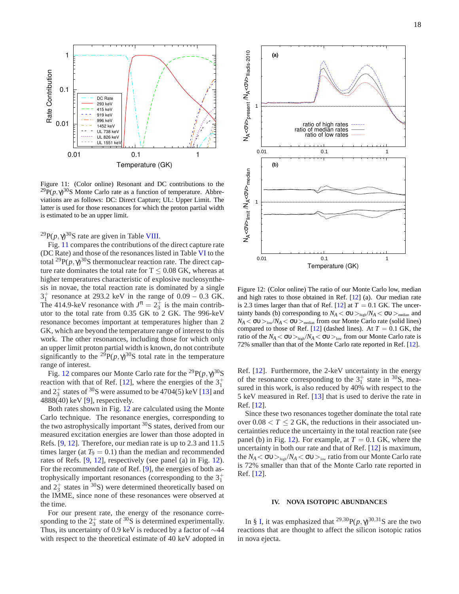

Figure 11: (Color online) Resonant and DC contributions to the  ${}^{29}P(p,\gamma)^{30}S$  Monte Carlo rate as a function of temperature. Abbreviations are as follows: DC: Direct Capture; UL: Upper Limit. The latter is used for those resonances for which the proton partial width is estimated to be an upper limit.

 $^{29}P(p,\gamma)^{30}S$  rate are given in Table VIII.

Fig. 11 compares the contributions of the direct capture rate (DC Rate) and those of the resonances listed in Table VI to the total <sup>29</sup> $P(p, \gamma)^{30}$ S thermonuclear reaction rate. The direct capture rate dominates the total rate for  $T \leq 0.08$  GK, whereas at higher temperatures characteristic of explosive nucleosynthesis in novae, the total reaction rate is dominated by a single  $3^+_1$  resonance at 293.2 keV in the range of  $0.09 - 0.3$  GK. The 414.9-keV resonance with  $J^{\pi} = 2^{\frac{1}{3}}$  is the main contributor to the total rate from 0.35 GK to 2 GK. The 996-keV resonance becomes important at temperatures higher than 2 GK, which are beyond the temperature range of interest to this work. The other resonances, including those for which only an upper limit proton partial width is known, do not contribute significantly to the <sup>29</sup> $P(p, \gamma)^{30}$ S total rate in the temperature range of interest.

Fig. 12 compares our Monte Carlo rate for the <sup>29</sup>P( $p, \gamma$ )<sup>30</sup>S reaction with that of Ref. [12], where the energies of the  $3^+_1$ and  $2^+_3$  states of <sup>30</sup>S were assumed to be 4704(5) keV [13] and  $4888(40)$  keV [9], respectively.

Both rates shown in Fig. 12 are calculated using the Monte Carlo technique. The resonance energies, corresponding to the two astrophysically important <sup>30</sup>S states, derived from our measured excitation energies are lower than those adopted in Refs. [9, 12]. Therefore, our median rate is up to 2.3 and 11.5 times larger (at  $T_9 = 0.1$ ) than the median and recommended rates of Refs. [9, 12], respectively (see panel (a) in Fig. 12). For the recommended rate of Ref. [9], the energies of both astrophysically important resonances (corresponding to the  $3^+_1$ and  $2^+_3$  states in <sup>30</sup>S) were determined theoretically based on the IMME, since none of these resonances were observed at the time.

For our present rate, the energy of the resonance corresponding to the  $2^+_3$  state of <sup>30</sup>S is determined experimentally. Thus, its uncertainty of 0.9 keV is reduced by a factor of ∼44 with respect to the theoretical estimate of 40 keV adopted in



Figure 12: (Color online) The ratio of our Monte Carlo low, median and high rates to those obtained in Ref. [12] (a). Our median rate is 2.3 times larger than that of Ref.  $[12]$  at  $T = 0.1$  GK. The uncertainty bands (b) corresponding to  $N_A < \sigma v >_{\text{high}}/N_A < \sigma v >_{\text{median}}$  and *N*<sub>*A*</sub>  $<$  συ $>$ <sub>low</sub>/*N*<sub>*A*</sub>  $<$  συ $>$ <sub>median</sub> from our Monte Carlo rate (solid lines) compared to those of Ref. [12] (dashed lines). At  $T = 0.1$  GK, the ratio of the  $N_A < \sigma v >_{\text{high}}/N_A < \sigma v >_{\text{low}}$  from our Monte Carlo rate is 72% smaller than that of the Monte Carlo rate reported in Ref. [12].

Ref. [12]. Furthermore, the 2-keV uncertainty in the energy of the resonance corresponding to the  $3^+_1$  state in  $3^0$ S, measured in this work, is also reduced by 40% with respect to the 5 keV measured in Ref. [13] that is used to derive the rate in Ref. [12].

Since these two resonances together dominate the total rate over  $0.08 < T \le 2$  GK, the reductions in their associated uncertainties reduce the uncertainty in the total reaction rate (see panel (b) in Fig. 12). For example, at  $T = 0.1$  GK, where the uncertainty in both our rate and that of Ref. [12] is maximum, the  $N_A < \sigma v >_{\text{high}} / N_A < \sigma v >_{\text{low}}$  ratio from our Monte Carlo rate is 72% smaller than that of the Monte Carlo rate reported in Ref. [12].

#### **IV. NOVA ISOTOPIC ABUNDANCES**

In § I, it was emphasized that  $^{29,30}P(p,\gamma)^{30,31}S$  are the two reactions that are thought to affect the silicon isotopic ratios in nova ejecta.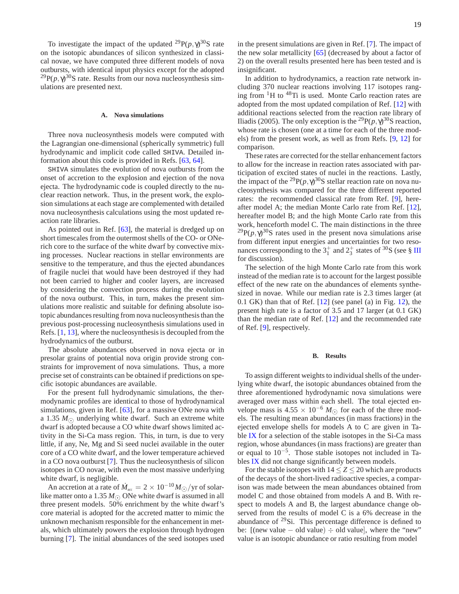To investigate the impact of the updated <sup>29</sup> $P(p, \gamma)^{30}$ S rate on the isotopic abundances of silicon synthesized in classical novae, we have computed three different models of nova outbursts, with identical input physics except for the adopted  $^{29}P(p, \gamma)^{30}$ S rate. Results from our nova nucleosynthesis simulations are presented next.

#### **A. Nova simulations**

Three nova nucleosynthesis models were computed with the Lagrangian one-dimensional (spherically symmetric) full hydrodynamic and implicit code called SHIVA. Detailed information about this code is provided in Refs. [63, 64].

SHIVA simulates the evolution of nova outbursts from the onset of accretion to the explosion and ejection of the nova ejecta. The hydrodynamic code is coupled directly to the nuclear reaction network. Thus, in the present work, the explosion simulations at each stage are complemented with detailed nova nucleosynthesis calculations using the most updated reaction rate libraries.

As pointed out in Ref. [63], the material is dredged up on short timescales from the outermost shells of the CO- or ONerich core to the surface of the white dwarf by convective mixing processes. Nuclear reactions in stellar environments are sensitive to the temperature, and thus the ejected abundances of fragile nuclei that would have been destroyed if they had not been carried to higher and cooler layers, are increased by considering the convection process during the evolution of the nova outburst. This, in turn, makes the present simulations more realistic and suitable for defining absolute isotopic abundances resulting from nova nucleosynthesis than the previous post-processing nucleosynthesis simulations used in Refs. [1, 13], where the nucleosynthesis is decoupled from the hydrodynamics of the outburst.

The absolute abundances observed in nova ejecta or in presolar grains of potential nova origin provide strong constraints for improvement of nova simulations. Thus, a more precise set of constraints can be obtained if predictions on specific isotopic abundances are available.

For the present full hydrodynamic simulations, the thermodynamic profiles are identical to those of hydrodynamical simulations, given in Ref. [63], for a massive ONe nova with a 1.35  $M_{\odot}$  underlying white dwarf. Such an extreme white dwarf is adopted because a CO white dwarf shows limited activity in the Si-Ca mass region. This, in turn, is due to very little, if any, Ne, Mg and Si seed nuclei available in the outer core of a CO white dwarf, and the lower temperature achieved in a CO nova outburst [7]. Thus the nucleosynthesis of silicon isotopes in CO novae, with even the most massive underlying white dwarf, is negligible.

An accretion at a rate of  $\dot{M}_{\rm acc} = 2 \times 10^{-10} M_{\odot} / {\rm yr}$  of solarlike matter onto a 1.35  $M_{\odot}$  ONe white dwarf is assumed in all three present models. 50% enrichment by the white dwarf's core material is adopted for the accreted matter to mimic the unknown mechanism responsible for the enhancement in metals, which ultimately powers the explosion through hydrogen burning [7]. The initial abundances of the seed isotopes used in the present simulations are given in Ref. [7]. The impact of the new solar metallicity [65] (decreased by about a factor of 2) on the overall results presented here has been tested and is insignificant.

In addition to hydrodynamics, a reaction rate network including 370 nuclear reactions involving 117 isotopes ranging from  ${}^{1}$ H to  ${}^{48}$ Ti is used. Monte Carlo reaction rates are adopted from the most updated compilation of Ref. [12] with additional reactions selected from the reaction rate library of Iliadis (2005). The only exception is the <sup>29</sup>P( $p, \gamma$ )<sup>30</sup>S reaction, whose rate is chosen (one at a time for each of the three models) from the present work, as well as from Refs. [9, 12] for comparison.

These rates are corrected for the stellar enhancement factors to allow for the increase in reaction rates associated with participation of excited states of nuclei in the reactions. Lastly, the impact of the <sup>29</sup> $P(p, \gamma)^{30}$ S stellar reaction rate on nova nucleosynthesis was compared for the three different reported rates: the recommended classical rate from Ref. [9], hereafter model A; the median Monte Carlo rate from Ref. [12], hereafter model B; and the high Monte Carlo rate from this work, henceforth model C. The main distinctions in the three  ${}^{29}P(p,\gamma)^{30}S$  rates used in the present nova simulations arise from different input energies and uncertainties for two resonances corresponding to the  $3^+_1$  and  $2^+_3$  states of <sup>30</sup>S (see § III for discussion).

The selection of the high Monte Carlo rate from this work instead of the median rate is to account for the largest possible effect of the new rate on the abundances of elements synthesized in novae. While our median rate is 2.3 times larger (at 0.1 GK) than that of Ref. [12] (see panel (a) in Fig. 12), the present high rate is a factor of 3.5 and 17 larger (at 0.1 GK) than the median rate of Ref. [12] and the recommended rate of Ref. [9], respectively.

#### **B. Results**

To assign different weights to individual shells of the underlying white dwarf, the isotopic abundances obtained from the three aforementioned hydrodynamic nova simulations were averaged over mass within each shell. The total ejected envelope mass is  $4.55 \times 10^{-6} M_{\odot}$  for each of the three models. The resulting mean abundances (in mass fractions) in the ejected envelope shells for models A to C are given in Table IX for a selection of the stable isotopes in the Si-Ca mass region, whose abundances (in mass fractions) are greater than or equal to 10−<sup>5</sup> . Those stable isotopes not included in Tables IX did not change significantly between models.

For the stable isotopes with  $14 \le Z \le 20$  which are products of the decays of the short-lived radioactive species, a comparison was made between the mean abundances obtained from model C and those obtained from models A and B. With respect to models A and B, the largest abundance change observed from the results of model C is a 6% decrease in the abundance of  $29$ Si. This percentage difference is defined to be:  $[(new value - old value) \div old = old value], where the "new"$ value is an isotopic abundance or ratio resulting from model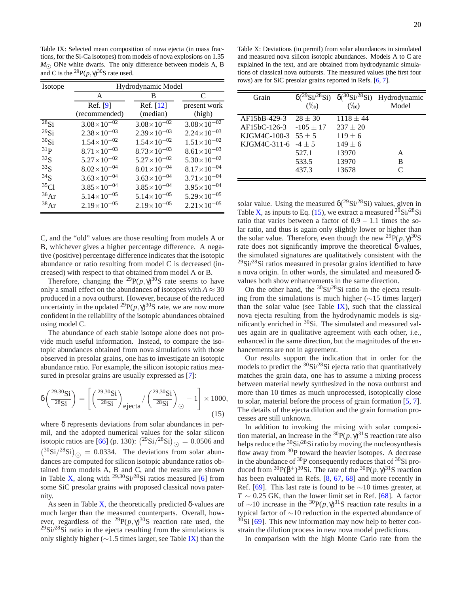Table IX: Selected mean composition of nova ejecta (in mass fractions, for the Si-Ca isotopes) from models of nova explosions on 1.35 *M*<sub>⊙</sub> ONe white dwarfs. The only difference between models A, B and C is the <sup>29</sup> $P(p, \gamma)^{30}$ S rate used.

| Isotope         | Hydrodynamic Model     |                        |                        |  |  |  |  |  |  |  |  |
|-----------------|------------------------|------------------------|------------------------|--|--|--|--|--|--|--|--|
|                 | A                      | B                      | C                      |  |  |  |  |  |  |  |  |
|                 | Ref. [9]               | Ref. [12]              | present work           |  |  |  |  |  |  |  |  |
|                 | (recommended)          | (median)               | (high)                 |  |  |  |  |  |  |  |  |
| $^{28}$ Si      | $3.08\times10^{-02}$   | $3.08\times10^{-02}$   | $3.08\times10^{-02}$   |  |  |  |  |  |  |  |  |
| $^{29}$ Si      | $2.38 \times 10^{-03}$ | $2.39\times10^{-03}$   | $2.24 \times 10^{-03}$ |  |  |  |  |  |  |  |  |
| $30$ Si         | $1.54\times10^{-02}$   | $1.54\times10^{-02}$   | $1.51 \times 10^{-02}$ |  |  |  |  |  |  |  |  |
| $^{31}P$        | $8.71 \times 10^{-03}$ | $8.73 \times 10^{-03}$ | $8.61\times10^{-03}$   |  |  |  |  |  |  |  |  |
| $^{32}S$        | $5.27\times10^{-02}$   | $5.27\times10^{-02}$   | $5.30\times10^{-02}$   |  |  |  |  |  |  |  |  |
| $^{33}S$        | $8.02 \times 10^{-04}$ | $8.01 \times 10^{-04}$ | $8.17\times10^{-04}$   |  |  |  |  |  |  |  |  |
| 34 <sub>S</sub> | $3.63 \times 10^{-04}$ | $3.63 \times 10^{-04}$ | $3.71 \times 10^{-04}$ |  |  |  |  |  |  |  |  |
| $^{35}Cl$       | $3.85 \times 10^{-04}$ | $3.85 \times 10^{-04}$ | $3.95 \times 10^{-04}$ |  |  |  |  |  |  |  |  |
| $^{36}Ar$       | $5.14\times10^{-05}$   | $5.14\times10^{-05}$   | $5.29\times10^{-05}$   |  |  |  |  |  |  |  |  |
| 38Ar            | $2.19\times10^{-05}$   | $2.19\times10^{-05}$   | $2.21 \times 10^{-05}$ |  |  |  |  |  |  |  |  |

C, and the "old" values are those resulting from models A or B, whichever gives a higher percentage difference. A negative (positive) percentage difference indicates that the isotopic abundance or ratio resulting from model C is decreased (increased) with respect to that obtained from model A or B.

Therefore, changing the <sup>29</sup> $P(p, \gamma)^{30}$ S rate seems to have only a small effect on the abundances of isotopes with  $A \approx 30$ produced in a nova outburst. However, because of the reduced uncertainty in the updated <sup>29</sup> $P(p, \gamma)^{30}$ S rate, we are now more confident in the reliability of the isotopic abundances obtained using model C.

The abundance of each stable isotope alone does not provide much useful information. Instead, to compare the isotopic abundances obtained from nova simulations with those observed in presolar grains, one has to investigate an isotopic abundance ratio. For example, the silicon isotopic ratios measured in presolar grains are usually expressed as [7]:

$$
\delta \left( \frac{^{29,30}\text{Si}}{^{28}\text{Si}} \right) = \left[ \left( \frac{^{29,30}\text{Si}}{^{28}\text{Si}} \right)_{\text{ejecta}} / \left( \frac{^{29,30}\text{Si}}{^{28}\text{Si}} \right)_{\odot} - 1 \right] \times 1000,
$$
\n(15)

where δ represents deviations from solar abundances in permil, and the adopted numerical values for the solar silicon isotopic ratios are [66] (p. 130):  $({}^{29}\text{Si}/{}^{28}\text{Si})_{\odot} = 0.0506$  and  $({}^{30}\text{Si}/{}^{28}\text{Si})_{\odot} = 0.0334$ . The deviations from solar abundances are computed for silicon isotopic abundance ratios obtained from models A, B and C, and the results are shown in Table X, along with  $^{29,30}Si/^{28}Si$  ratios measured [6] from some SiC presolar grains with proposed classical nova paternity.

As seen in Table X, the theoretically predicted  $\delta$ -values are much larger than the measured counterparts. Overall, however, regardless of the <sup>29</sup>P( $p, \gamma$ )<sup>30</sup>S reaction rate used, the  $^{29}$ Si/ $^{28}$ Si ratio in the ejecta resulting from the simulations is only slightly higher ( $\sim$ 1.5 times larger, see Table IX) than the

Table X: Deviations (in permil) from solar abundances in simulated and measured nova silicon isotopic abundances. Models A to C are explained in the text, and are obtained from hydrodynamic simulations of classical nova outbursts. The measured values (the first four rows) are for SiC presolar grains reported in Refs. [6, 7].

| Grain                   | $\delta(^{29}Si/^{28}Si)$<br>$(\%0)$ | $(\%0)$       | $\delta$ <sup>(30</sup> Si <sup>/28</sup> Si) Hydrodynamic<br>Model |
|-------------------------|--------------------------------------|---------------|---------------------------------------------------------------------|
| AF15bB-429-3            | $28 \pm 30$                          | $1118 \pm 44$ |                                                                     |
| AF15bC-126-3            | $-105 \pm 17$                        | $237 \pm 20$  |                                                                     |
| KJGM4C-100-3 $55 \pm 5$ |                                      | $119 \pm 6$   |                                                                     |
| KJGM4C-311-6            | $-4+5$                               | $149 \pm 6$   |                                                                     |
|                         | 527.1                                | 13970         | A                                                                   |
|                         | 533.5                                | 13970         | в                                                                   |
|                         | 437.3                                | 13678         | $\mathsf{\Gamma}$                                                   |

solar value. Using the measured  $\delta({}^{29}\text{Si}/{}^{28}\text{Si})$  values, given in Table X, as inputs to Eq. (15), we extract a measured  $^{29}Si^{28}Si$ ratio that varies between a factor of  $0.9 - 1.1$  times the solar ratio, and thus is again only slightly lower or higher than the solar value. Therefore, even though the new  $^{29}P(p,\gamma)^{30}S$ rate does not significantly improve the theoretical δ-values, the simulated signatures are qualitatively consistent with the  $29\text{Si}/28\text{Si}$  ratios measured in presolar grains identified to have a nova origin. In other words, the simulated and measured δvalues both show enhancements in the same direction.

On the other hand, the  $30Si/28Si$  ratio in the ejecta resulting from the simulations is much higher (∼15 times larger) than the solar value (see Table  $IX$ ), such that the classical nova ejecta resulting from the hydrodynamic models is significantly enriched in <sup>30</sup>Si. The simulated and measured values again are in qualitative agreement with each other, i.e., enhanced in the same direction, but the magnitudes of the enhancements are not in agreement.

Our results support the indication that in order for the models to predict the  $\frac{30}{5}$ Si/ $\frac{28}{5}$ Si ejecta ratio that quantitatively matches the grain data, one has to assume a mixing process between material newly synthesized in the nova outburst and more than 10 times as much unprocessed, isotopically close to solar, material before the process of grain formation [5, 7]. The details of the ejecta dilution and the grain formation processes are still unknown.

In addition to invoking the mixing with solar composition material, an increase in the  ${}^{30}P(p,\gamma)^{31}S$  reaction rate also helps reduce the  $30Si/28Si$  ratio by moving the nucleosynthesis flow away from <sup>30</sup>P toward the heavier isotopes. A decrease in the abundance of <sup>30</sup>P consequently reduces that of <sup>30</sup>Si produced from <sup>30</sup>P( $\beta$ <sup>+</sup>)<sup>30</sup>Si. The rate of the <sup>30</sup>P( $p, \gamma$ )<sup>31</sup>S reaction has been evaluated in Refs. [8, 67, 68] and more recently in Ref. [69]. This last rate is found to be  $\sim$ 10 times greater, at  $T \sim 0.25$  GK, than the lower limit set in Ref. [68]. A factor of ~10 increase in the <sup>30</sup> $P(p, \gamma)^{31}$ S reaction rate results in a typical factor of ∼10 reduction in the expected abundance of  $30$ Si [69]. This new information may now help to better constrain the dilution process in new nova model predictions.

In comparison with the high Monte Carlo rate from the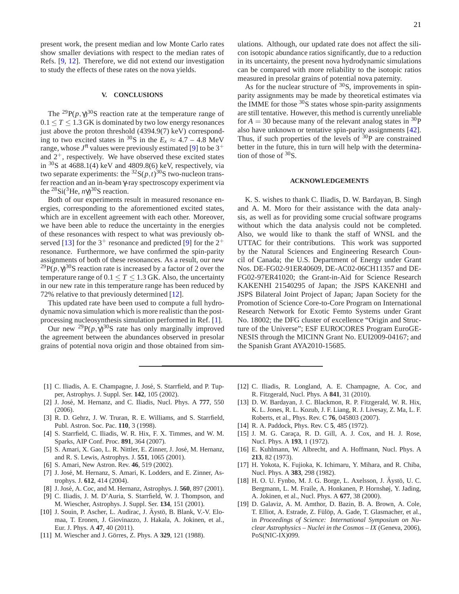present work, the present median and low Monte Carlo rates show smaller deviations with respect to the median rates of Refs. [9, 12]. Therefore, we did not extend our investigation to study the effects of these rates on the nova yields.

#### **V. CONCLUSIONS**

The <sup>29</sup> $P(p, \gamma)^{30}$ S reaction rate at the temperature range of  $0.1 < T < 1.3$  GK is dominated by two low energy resonances just above the proton threshold (4394.9(7) keV) corresponding to two excited states in <sup>30</sup>S in the  $E_x \approx 4.7 - 4.8$  MeV range, whose  $J^{\pi}$  values were previously estimated [9] to be  $3^+$ and  $2^+$ , respectively. We have observed these excited states in  $30S$  at  $4688.1(4)$  keV and  $4809.8(6)$  keV, respectively, via two separate experiments: the  ${}^{32}S(p,t) {}^{30}S$  two-nucleon transfer reaction and an in-beam γ-ray spectroscopy experiment via the <sup>28</sup>Si(<sup>3</sup>He,  $n\gamma$ )<sup>30</sup>S reaction.

Both of our experiments result in measured resonance energies, corresponding to the aforementioned excited states, which are in excellent agreement with each other. Moreover, we have been able to reduce the uncertainty in the energies of these resonances with respect to what was previously observed [13] for the  $3^+$  resonance and predicted [9] for the  $2^+$ resonance. Furthermore, we have confirmed the spin-parity assignments of both of these resonances. As a result, our new <sup>29</sup> $P(p, \gamma)^{30}$ S reaction rate is increased by a factor of 2 over the temperature range of  $0.1 \le T \le 1.3$  GK. Also, the uncertainty in our new rate in this temperature range has been reduced by 72% relative to that previously determined [12].

This updated rate have been used to compute a full hydrodynamic nova simulation which is more realistic than the postprocessing nucleosynthesis simulation performed in Ref. [1].

Our new <sup>29</sup> $P(p, \gamma)^{30}$ S rate has only marginally improved the agreement between the abundances observed in presolar grains of potential nova origin and those obtained from simulations. Although, our updated rate does not affect the silicon isotopic abundance ratios significantly, due to a reduction in its uncertainty, the present nova hydrodynamic simulations can be compared with more reliability to the isotopic ratios measured in presolar grains of potential nova paternity.

As for the nuclear structure of <sup>30</sup>S, improvements in spinparity assignments may be made by theoretical estimates via the IMME for those  $30S$  states whose spin-parity assignments are still tentative. However, this method is currently unreliable for  $A = 30$  because many of the relevant analog states in <sup>30</sup>P also have unknown or tentative spin-parity assignments [42]. Thus, if such properties of the levels of  $30P$  are constrained better in the future, this in turn will help with the determination of those of <sup>30</sup>S.

#### **ACKNOWLEDGEMENTS**

K. S. wishes to thank C. Iliadis, D. W. Bardayan, B. Singh and A. M. Moro for their assistance with the data analysis, as well as for providing some crucial software programs without which the data analysis could not be completed. Also, we would like to thank the staff of WNSL and the UTTAC for their contributions. This work was supported by the Natural Sciences and Engineering Research Council of Canada; the U.S. Department of Energy under Grant Nos. DE-FG02-91ER40609, DE-AC02-06CH11357 and DE-FG02-97ER41020; the Grant-in-Aid for Science Research KAKENHI 21540295 of Japan; the JSPS KAKENHI and JSPS Bilateral Joint Project of Japan; Japan Society for the Promotion of Science Core-to-Core Program on International Research Network for Exotic Femto Systems under Grant No. 18002; the DFG cluster of excellence "Origin and Structure of the Universe"; ESF EUROCORES Program EuroGE-NESIS through the MICINN Grant No. EUI2009-04167; and the Spanish Grant AYA2010-15685.

- [1] C. Iliadis, A. E. Champagne, J. José, S. Starrfield, and P. Tupper, Astrophys. J. Suppl. Ser. **142**, 105 (2002).
- [2] J. José, M. Hernanz, and C. Iliadis, Nucl. Phys. A 777, 550 (2006).
- [3] R. D. Gehrz, J. W. Truran, R. E. Williams, and S. Starrfield, Publ. Astron. Soc. Pac. **110**, 3 (1998).
- [4] S. Starrfield, C. Iliadis, W. R. Hix, F. X. Timmes, and W. M. Sparks, AIP Conf. Proc. **891**, 364 (2007).
- [5] S. Amari, X. Gao, L. R. Nittler, E. Zinner, J. José, M. Hernanz, and R. S. Lewis, Astrophys. J. **551**, 1065 (2001).
- [6] S. Amari, New Astron. Rev. **46**, 519 (2002).
- [7] J. José, M. Hernanz, S. Amari, K. Lodders, and E. Zinner, Astrophys. J. **612**, 414 (2004).
- [8] J. José, A. Coc, and M. Hernanz, Astrophys. J. **560**, 897 (2001).
- [9] C. Iliadis, J. M. D'Auria, S. Starrfield, W. J. Thompson, and M. Wiescher, Astrophys. J. Suppl. Ser. **134**, 151 (2001).
- [10] J. Souin, P. Ascher, L. Audirac, J. Aystö, B. Blank, V.-V. Elomaa, T. Eronen, J. Giovinazzo, J. Hakala, A. Jokinen, et al., Eur. J. Phys. A **47**, 40 (2011).
- [11] M. Wiescher and J. Görres, Z. Phys. A 329, 121 (1988).
- [12] C. Iliadis, R. Longland, A. E. Champagne, A. Coc, and R. Fitzgerald, Nucl. Phys. A **841**, 31 (2010).
- [13] D. W. Bardayan, J. C. Blackmon, R. P. Fitzgerald, W. R. Hix, K. L. Jones, R. L. Kozub, J. F. Liang, R. J. Livesay, Z. Ma, L. F. Roberts, et al., Phys. Rev. C **76**, 045803 (2007).
- [14] R. A. Paddock, Phys. Rev. C **5**, 485 (1972).
- [15] J. M. G. Caraça, R. D. Gill, A. J. Cox, and H. J. Rose, Nucl. Phys. A **193**, 1 (1972).
- [16] E. Kuhlmann, W. Albrecht, and A. Hoffmann, Nucl. Phys. A **213**, 82 (1973).
- [17] H. Yokota, K. Fujioka, K. Ichimaru, Y. Mihara, and R. Chiba, Nucl. Phys. A **383**, 298 (1982).
- [18] H. O. U. Fynbo, M. J. G. Borge, L. Axelsson, J. Äystö, U. C. Bergmann, L. M. Fraile, A. Honkanen, P. Hornshøj, Y. Jading, A. Jokinen, et al., Nucl. Phys. A **677**, 38 (2000).
- [19] D. Galaviz, A. M. Amthor, D. Bazin, B. A. Brown, A. Cole, T. Elliot, A. Estrade, Z. Fülöp, A. Gade, T. Glasmacher, et al., in *Proceedings of Science: International Symposium on Nuclear Astrophysics – Nuclei in the Cosmos – IX* (Geneva, 2006), PoS(NIC-IX)099.